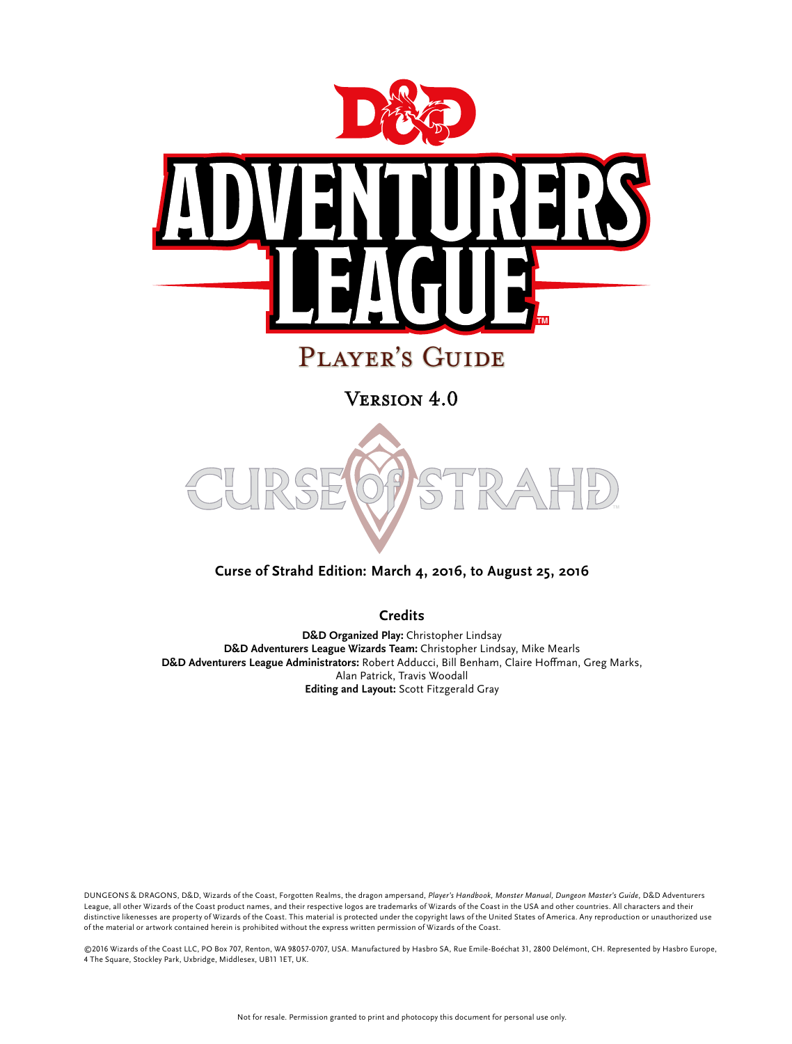

## Player's Guide

Version 4.0



### **Curse of Strahd Edition: March 4, 2016, to August 25, 2016**

**Credits**

**D&D Organized Play:** Christopher Lindsay **D&D Adventurers League Wizards Team:** Christopher Lindsay, Mike Mearls **D&D Adventurers League Administrators:** Robert Adducci, Bill Benham, Claire Hoffman, Greg Marks, Alan Patrick, Travis Woodall **Editing and Layout:** Scott Fitzgerald Gray

DUNGEONS & DRAGONS, D&D, Wizards of the Coast, Forgotten Realms, the dragon ampersand, *Player's Handbook, Monster Manual, Dungeon Master's Guide,* D&D Adventurers League, all other Wizards of the Coast product names, and their respective logos are trademarks of Wizards of the Coast in the USA and other countries. All characters and their distinctive likenesses are property of Wizards of the Coast. This material is protected under the copyright laws of the United States of America. Any reproduction or unauthorized use of the material or artwork contained herein is prohibited without the express written permission of Wizards of the Coast.

©2016 Wizards of the Coast LLC, PO Box 707, Renton, WA 98057-0707, USA. Manufactured by Hasbro SA, Rue Emile-Boéchat 31, 2800 Delémont, CH. Represented by Hasbro Europe, 4 The Square, Stockley Park, Uxbridge, Middlesex, UB11 1ET, UK.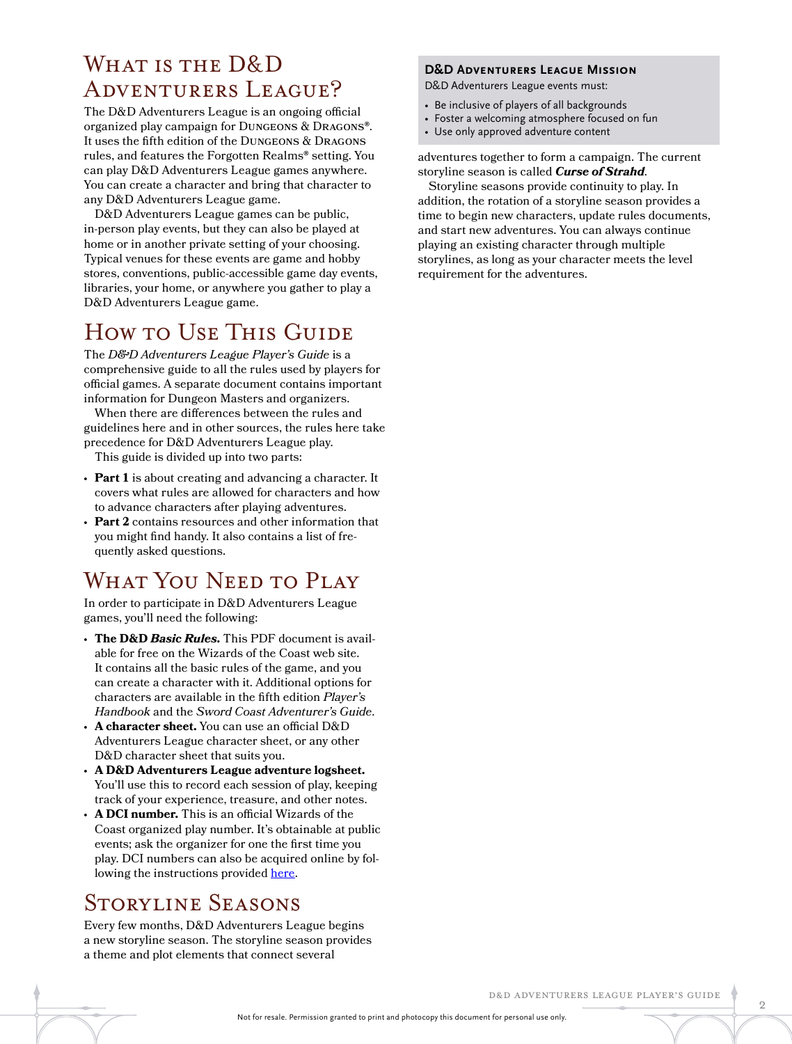## WHAT IS THE D&D Adventurers League?

The D&D Adventurers League is an ongoing official organized play campaign for Dungeons & Dragons®. It uses the fifth edition of the Dungeons & Dragons rules, and features the Forgotten Realms® setting. You can play D&D Adventurers League games anywhere. You can create a character and bring that character to any D&D Adventurers League game.

D&D Adventurers League games can be public, in-person play events, but they can also be played at home or in another private setting of your choosing. Typical venues for these events are game and hobby stores, conventions, public-accessible game day events, libraries, your home, or anywhere you gather to play a D&D Adventurers League game.

## How to Use This Guide

The *D&D Adventurers League Player's Guide* is a comprehensive guide to all the rules used by players for official games. A separate document contains important information for Dungeon Masters and organizers.

When there are differences between the rules and guidelines here and in other sources, the rules here take precedence for D&D Adventurers League play.

This guide is divided up into two parts:

- **Part 1** is about creating and advancing a character. It covers what rules are allowed for characters and how to advance characters after playing adventures.
- **Part 2** contains resources and other information that you might find handy. It also contains a list of frequently asked questions.

## WHAT YOU NEED TO PLAY

In order to participate in D&D Adventurers League games, you'll need the following:

- **The D&D** *Basic Rules***.** This PDF document is available for free on the Wizards of the Coast web site. It contains all the basic rules of the game, and you can create a character with it. Additional options for characters are available in the fifth edition *Player's Handbook* and the *Sword Coast Adventurer's Guide*.
- **A character sheet.** You can use an official D&D Adventurers League character sheet, or any other D&D character sheet that suits you.
- **A D&D Adventurers League adventure logsheet.** You'll use this to record each session of play, keeping track of your experience, treasure, and other notes.
- **A DCI number.** This is an official Wizards of the Coast organized play number. It's obtainable at public events; ask the organizer for one the first time you play. DCI numbers can also be acquired online by following the instructions provided [here](http://wpn.wizards.com/sites/wpn/files/attachements/wizardsaccountposter_11x17.pdf).

## Storyline Seasons

Every few months, D&D Adventurers League begins a new storyline season. The storyline season provides a theme and plot elements that connect several

### **D&D Adventurers League Mission**

D&D Adventurers League events must:

- Be inclusive of players of all backgrounds
- Foster a welcoming atmosphere focused on fun
- Use only approved adventure content

adventures together to form a campaign. The current storyline season is called *Curse of Strahd*.

Storyline seasons provide continuity to play. In addition, the rotation of a storyline season provides a time to begin new characters, update rules documents, and start new adventures. You can always continue playing an existing character through multiple storylines, as long as your character meets the level requirement for the adventures.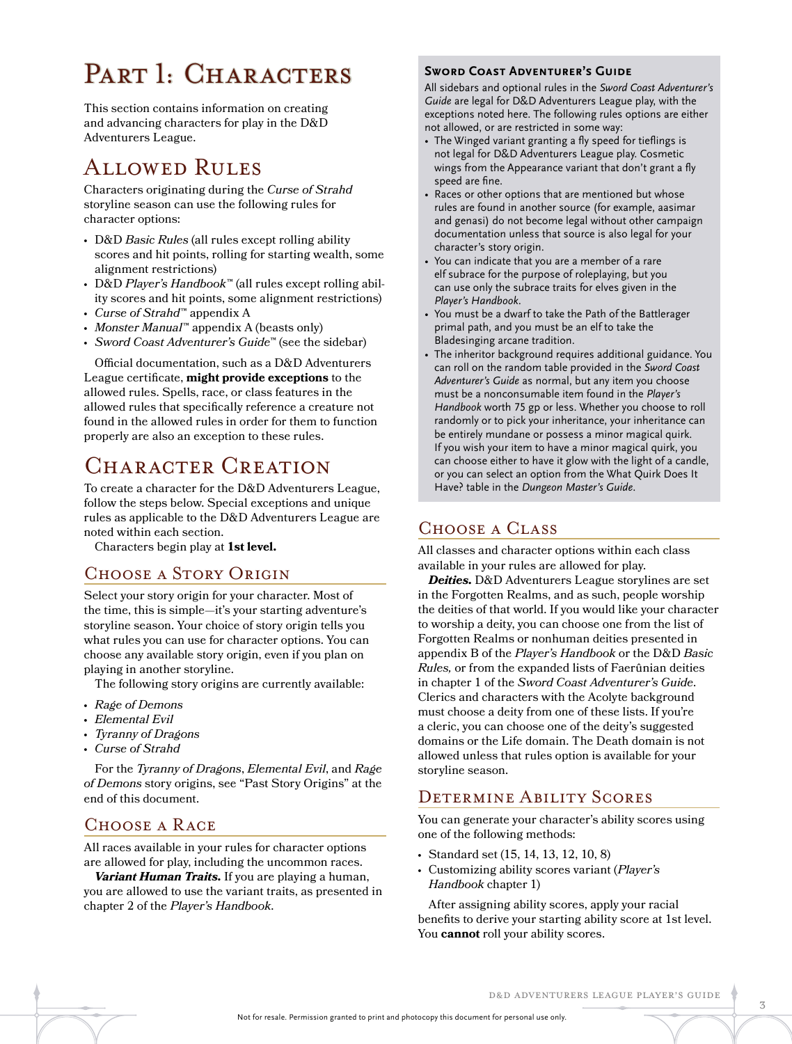# PART 1: CHARACTERS SWORD COAST ADVENTURER'S GUIDE

This section contains information on creating and advancing characters for play in the D&D Adventurers League.

## Allowed Rules

Characters originating during the *Curse of Strahd*  storyline season can use the following rules for character options:

- D&D *Basic Rules* (all rules except rolling ability scores and hit points, rolling for starting wealth, some alignment restrictions)
- D&D *Player's Handbook*™ (all rules except rolling ability scores and hit points, some alignment restrictions)
- *Curse of Strahd*™ appendix A
- *Monster Manual*™ appendix A (beasts only)
- *Sword Coast Adventurer's Guide*™ (see the sidebar)

Official documentation, such as a D&D Adventurers League certificate, **might provide exceptions** to the allowed rules. Spells, race, or class features in the allowed rules that specifically reference a creature not found in the allowed rules in order for them to function properly are also an exception to these rules.

## CHARACTER CREATION

To create a character for the D&D Adventurers League, follow the steps below. Special exceptions and unique rules as applicable to the D&D Adventurers League are noted within each section.

Characters begin play at **1st level.**

### Choose a Story Origin

Select your story origin for your character. Most of the time, this is simple—it's your starting adventure's storyline season. Your choice of story origin tells you what rules you can use for character options. You can choose any available story origin, even if you plan on playing in another storyline.

The following story origins are currently available:

- *Rage of Demons*
- *Elemental Evil*
- *Tyranny of Dragons*
- *Curse of Strahd*

For the *Tyranny of Dragons*, *Elemental Evil*, and *Rage of Demons* story origins, see "Past Story Origins" at the end of this document.

### Choose a Race

All races available in your rules for character options are allowed for play, including the uncommon races.

*Variant Human Traits.* If you are playing a human, you are allowed to use the variant traits, as presented in chapter 2 of the *Player's Handbook*.

All sidebars and optional rules in the *Sword Coast Adventurer's Guide* are legal for D&D Adventurers League play, with the exceptions noted here. The following rules options are either not allowed, or are restricted in some way:

- The Winged variant granting a fly speed for tieflings is not legal for D&D Adventurers League play. Cosmetic wings from the Appearance variant that don't grant a fly speed are fine.
- Races or other options that are mentioned but whose rules are found in another source (for example, aasimar and genasi) do not become legal without other campaign documentation unless that source is also legal for your character's story origin.
- You can indicate that you are a member of a rare elf subrace for the purpose of roleplaying, but you can use only the subrace traits for elves given in the *Player's Handbook*.
- You must be a dwarf to take the Path of the Battlerager primal path, and you must be an elf to take the Bladesinging arcane tradition.
- The inheritor background requires additional guidance. You can roll on the random table provided in the *Sword Coast Adventurer's Guide* as normal, but any item you choose must be a nonconsumable item found in the *Player's Handbook* worth 75 gp or less. Whether you choose to roll randomly or to pick your inheritance, your inheritance can be entirely mundane or possess a minor magical quirk. If you wish your item to have a minor magical quirk, you can choose either to have it glow with the light of a candle, or you can select an option from the What Quirk Does It Have? table in the *Dungeon Master's Guide*.

### Choose a Class

All classes and character options within each class available in your rules are allowed for play.

*Deities.* D&D Adventurers League storylines are set in the Forgotten Realms, and as such, people worship the deities of that world. If you would like your character to worship a deity, you can choose one from the list of Forgotten Realms or nonhuman deities presented in appendix B of the *Player's Handbook* or the D&D *Basic Rules,* or from the expanded lists of Faerûnian deities in chapter 1 of the *Sword Coast Adventurer's Guide*. Clerics and characters with the Acolyte background must choose a deity from one of these lists. If you're a cleric, you can choose one of the deity's suggested domains or the Life domain. The Death domain is not allowed unless that rules option is available for your storyline season.

### Determine Ability Scores

You can generate your character's ability scores using one of the following methods:

- Standard set (15, 14, 13, 12, 10, 8)
- Customizing ability scores variant (*Player's Handbook* chapter 1)

After assigning ability scores, apply your racial benefits to derive your starting ability score at 1st level. You **cannot** roll your ability scores.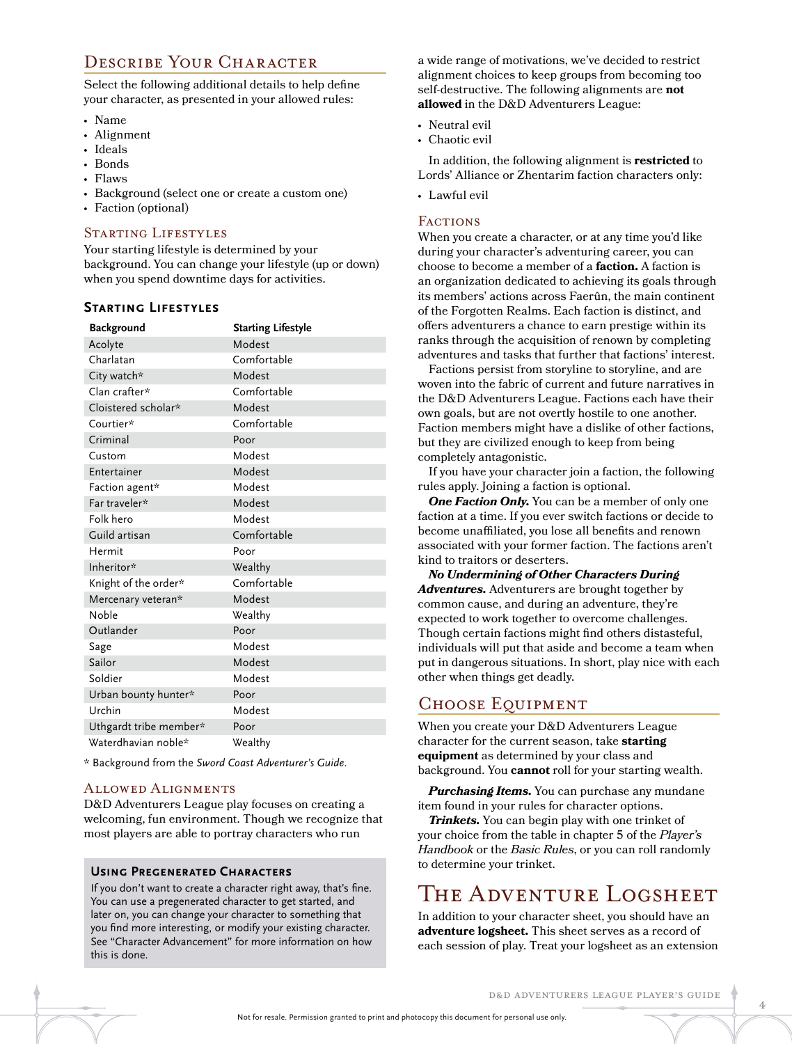### DESCRIBE YOUR CHARACTER

Select the following additional details to help define your character, as presented in your allowed rules:

- Name
- Alignment
- Ideals
- Bonds
- Flaws
- Background (select one or create a custom one)
- Faction (optional)

#### STARTING LIFESTYLES

Your starting lifestyle is determined by your background. You can change your lifestyle (up or down) when you spend downtime days for activities.

### **Starting Lifestyles**

| <b>Background</b>      | <b>Starting Lifestyle</b> |
|------------------------|---------------------------|
| Acolyte                | Modest                    |
| Charlatan              | Comfortable               |
| City watch*            | Modest                    |
| Clan crafter*          | Comfortable               |
| Cloistered scholar*    | Modest                    |
| Courtier*              | Comfortable               |
| Criminal               | Poor                      |
| Custom                 | Modest                    |
| Entertainer            | Modest                    |
| Faction agent*         | Modest                    |
| Far traveler*          | Modest                    |
| Folk hero              | Modest                    |
| Guild artisan          | Comfortable               |
| Hermit                 | Poor                      |
| Inheritor*             | Wealthy                   |
| Knight of the order*   | Comfortable               |
| Mercenary veteran*     | Modest                    |
| Noble                  | Wealthy                   |
| Outlander              | Poor                      |
| Sage                   | Modest                    |
| Sailor                 | Modest                    |
| Soldier                | Modest                    |
| Urban bounty hunter*   | Poor                      |
| Urchin                 | Modest                    |
| Uthgardt tribe member* | Poor                      |
| Waterdhavian noble*    | Wealthy                   |

\* Background from the *Sword Coast Adventurer's Guide*.

#### Allowed Alignments

D&D Adventurers League play focuses on creating a welcoming, fun environment. Though we recognize that most players are able to portray characters who run

### **Using Pregenerated Characters**

If you don't want to create a character right away, that's fine. You can use a pregenerated character to get started, and later on, you can change your character to something that you find more interesting, or modify your existing character. See "Character Advancement" for more information on how this is done.

a wide range of motivations, we've decided to restrict alignment choices to keep groups from becoming too self-destructive. The following alignments are **not allowed** in the D&D Adventurers League:

- Neutral evil
- Chaotic evil

In addition, the following alignment is **restricted** to Lords' Alliance or Zhentarim faction characters only:

• Lawful evil

#### **FACTIONS**

When you create a character, or at any time you'd like during your character's adventuring career, you can choose to become a member of a **faction.** A faction is an organization dedicated to achieving its goals through its members' actions across Faerûn, the main continent of the Forgotten Realms. Each faction is distinct, and offers adventurers a chance to earn prestige within its ranks through the acquisition of renown by completing adventures and tasks that further that factions' interest.

Factions persist from storyline to storyline, and are woven into the fabric of current and future narratives in the D&D Adventurers League. Factions each have their own goals, but are not overtly hostile to one another. Faction members might have a dislike of other factions, but they are civilized enough to keep from being completely antagonistic.

If you have your character join a faction, the following rules apply. Joining a faction is optional.

**One Faction Only.** You can be a member of only one faction at a time. If you ever switch factions or decide to become unaffiliated, you lose all benefits and renown associated with your former faction. The factions aren't kind to traitors or deserters.

*No Undermining of Other Characters During Adventures.* Adventurers are brought together by common cause, and during an adventure, they're expected to work together to overcome challenges. Though certain factions might find others distasteful, individuals will put that aside and become a team when put in dangerous situations. In short, play nice with each other when things get deadly.

### Choose Equipment

When you create your D&D Adventurers League character for the current season, take **starting equipment** as determined by your class and background. You **cannot** roll for your starting wealth.

*Purchasing Items.* You can purchase any mundane item found in your rules for character options.

*Trinkets.* You can begin play with one trinket of your choice from the table in chapter 5 of the *Player's Handbook* or the *Basic Rules*, or you can roll randomly to determine your trinket.

## The Adventure Logsheet

In addition to your character sheet, you should have an **adventure logsheet.** This sheet serves as a record of each session of play. Treat your logsheet as an extension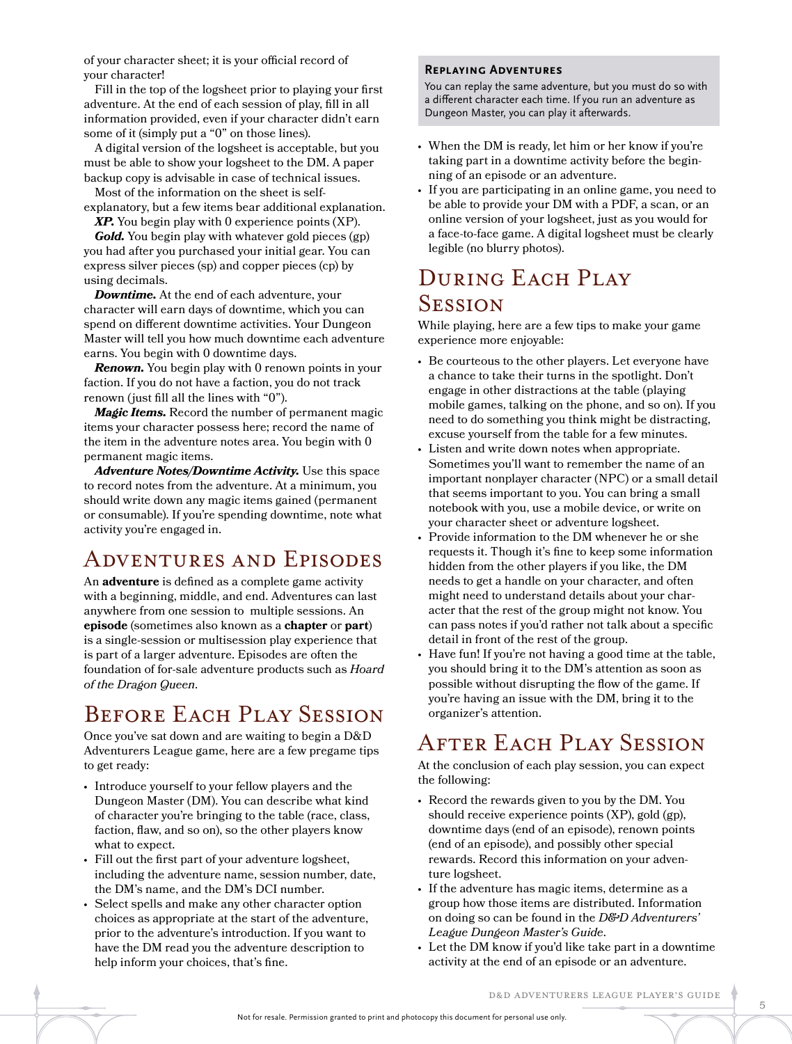of your character sheet; it is your official record of your character!

Fill in the top of the logsheet prior to playing your first adventure. At the end of each session of play, fill in all information provided, even if your character didn't earn some of it (simply put a "0" on those lines).

A digital version of the logsheet is acceptable, but you must be able to show your logsheet to the DM. A paper backup copy is advisable in case of technical issues.

Most of the information on the sheet is self-

explanatory, but a few items bear additional explanation. *XP.* You begin play with 0 experience points (XP).

*Gold.* You begin play with whatever gold pieces (gp) you had after you purchased your initial gear. You can express silver pieces (sp) and copper pieces (cp) by using decimals.

*Downtime.* At the end of each adventure, your character will earn days of downtime, which you can spend on different downtime activities. Your Dungeon Master will tell you how much downtime each adventure earns. You begin with 0 downtime days.

**Renown.** You begin play with 0 renown points in your faction. If you do not have a faction, you do not track renown (just fill all the lines with "0").

*Magic Items.* Record the number of permanent magic items your character possess here; record the name of the item in the adventure notes area. You begin with 0 permanent magic items.

*Adventure Notes/Downtime Activity.* Use this space to record notes from the adventure. At a minimum, you should write down any magic items gained (permanent or consumable). If you're spending downtime, note what activity you're engaged in.

## Adventures and Episodes

An **adventure** is defined as a complete game activity with a beginning, middle, and end. Adventures can last anywhere from one session to multiple sessions. An **episode** (sometimes also known as a **chapter** or **part**) is a single-session or multisession play experience that is part of a larger adventure. Episodes are often the foundation of for-sale adventure products such as *Hoard of the Dragon Queen*.

## BEFORE EACH PLAY SESSION

Once you've sat down and are waiting to begin a D&D Adventurers League game, here are a few pregame tips to get ready:

- Introduce yourself to your fellow players and the Dungeon Master (DM). You can describe what kind of character you're bringing to the table (race, class, faction, flaw, and so on), so the other players know what to expect.
- Fill out the first part of your adventure logsheet, including the adventure name, session number, date, the DM's name, and the DM's DCI number.
- Select spells and make any other character option choices as appropriate at the start of the adventure, prior to the adventure's introduction. If you want to have the DM read you the adventure description to help inform your choices, that's fine.

#### **Replaying Adventures**

You can replay the same adventure, but you must do so with a different character each time. If you run an adventure as Dungeon Master, you can play it afterwards.

- When the DM is ready, let him or her know if you're taking part in a downtime activity before the beginning of an episode or an adventure.
- If you are participating in an online game, you need to be able to provide your DM with a PDF, a scan, or an online version of your logsheet, just as you would for a face-to-face game. A digital logsheet must be clearly legible (no blurry photos).

## DURING EACH PLAY **SESSION**

While playing, here are a few tips to make your game experience more enjoyable:

- Be courteous to the other players. Let everyone have a chance to take their turns in the spotlight. Don't engage in other distractions at the table (playing mobile games, talking on the phone, and so on). If you need to do something you think might be distracting, excuse yourself from the table for a few minutes.
- Listen and write down notes when appropriate. Sometimes you'll want to remember the name of an important nonplayer character (NPC) or a small detail that seems important to you. You can bring a small notebook with you, use a mobile device, or write on your character sheet or adventure logsheet.
- Provide information to the DM whenever he or she requests it. Though it's fine to keep some information hidden from the other players if you like, the DM needs to get a handle on your character, and often might need to understand details about your character that the rest of the group might not know. You can pass notes if you'd rather not talk about a specific detail in front of the rest of the group.
- Have fun! If you're not having a good time at the table, you should bring it to the DM's attention as soon as possible without disrupting the flow of the game. If you're having an issue with the DM, bring it to the organizer's attention.

## AFTER EACH PLAY SESSION

At the conclusion of each play session, you can expect the following:

- Record the rewards given to you by the DM. You should receive experience points (XP), gold (gp), downtime days (end of an episode), renown points (end of an episode), and possibly other special rewards. Record this information on your adventure logsheet.
- If the adventure has magic items, determine as a group how those items are distributed. Information on doing so can be found in the *D&D Adventurers' League Dungeon Master's Guide*.
- Let the DM know if you'd like take part in a downtime activity at the end of an episode or an adventure.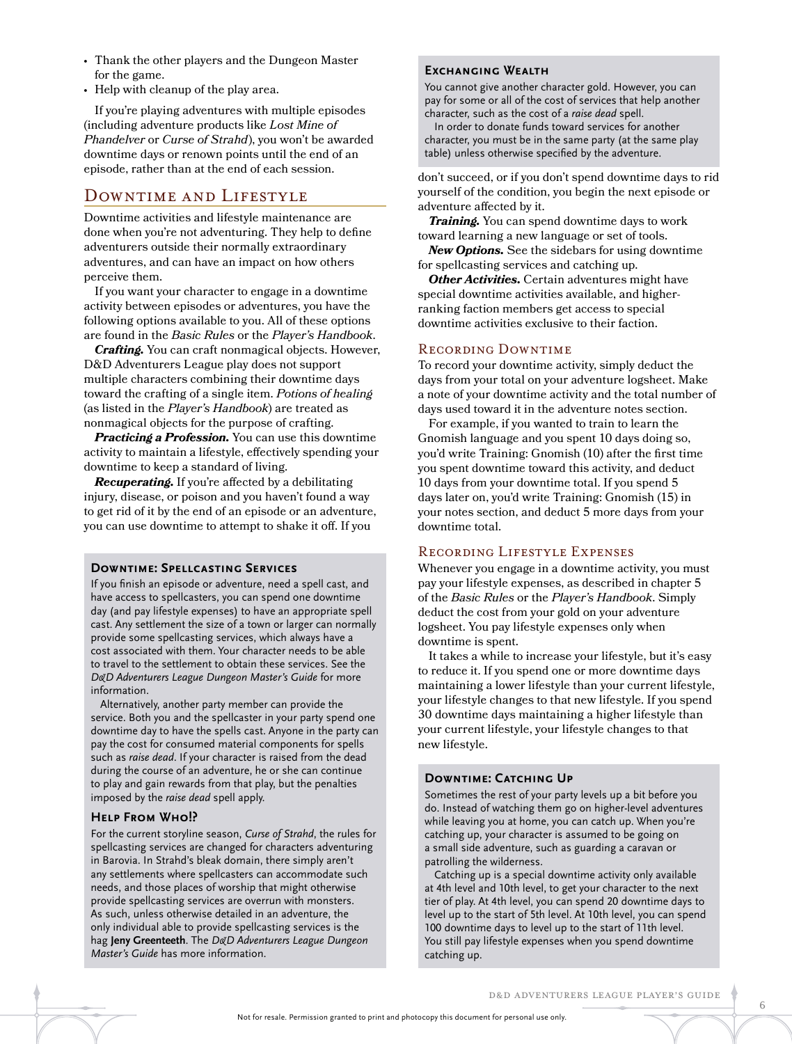- Thank the other players and the Dungeon Master for the game.
- Help with cleanup of the play area.

If you're playing adventures with multiple episodes (including adventure products like *Lost Mine of Phandelver* or *Curse of Strahd*), you won't be awarded downtime days or renown points until the end of an episode, rather than at the end of each session.

### Downtime and Lifestyle

Downtime activities and lifestyle maintenance are done when you're not adventuring. They help to define adventurers outside their normally extraordinary adventures, and can have an impact on how others perceive them.

If you want your character to engage in a downtime activity between episodes or adventures, you have the following options available to you. All of these options are found in the *Basic Rules* or the *Player's Handbook*.

*Crafting.* You can craft nonmagical objects. However, D&D Adventurers League play does not support multiple characters combining their downtime days toward the crafting of a single item. *Potions of healing* (as listed in the *Player's Handbook*) are treated as nonmagical objects for the purpose of crafting.

*Practicing a Profession.* You can use this downtime activity to maintain a lifestyle, effectively spending your downtime to keep a standard of living.

*Recuperating.* If you're affected by a debilitating injury, disease, or poison and you haven't found a way to get rid of it by the end of an episode or an adventure, you can use downtime to attempt to shake it off. If you

#### **Downtime: Spellcasting Services**

If you finish an episode or adventure, need a spell cast, and have access to spellcasters, you can spend one downtime day (and pay lifestyle expenses) to have an appropriate spell cast. Any settlement the size of a town or larger can normally provide some spellcasting services, which always have a cost associated with them. Your character needs to be able to travel to the settlement to obtain these services. See the *D&D Adventurers League Dungeon Master's Guide* for more information.

Alternatively, another party member can provide the service. Both you and the spellcaster in your party spend one downtime day to have the spells cast. Anyone in the party can pay the cost for consumed material components for spells such as *raise dead*. If your character is raised from the dead during the course of an adventure, he or she can continue to play and gain rewards from that play, but the penalties imposed by the *raise dead* spell apply.

### **Help From Who!?**

For the current storyline season, *Curse of Strahd*, the rules for spellcasting services are changed for characters adventuring in Barovia. In Strahd's bleak domain, there simply aren't any settlements where spellcasters can accommodate such needs, and those places of worship that might otherwise provide spellcasting services are overrun with monsters. As such, unless otherwise detailed in an adventure, the only individual able to provide spellcasting services is the hag **Jeny Greenteeth**. The *D&D Adventurers League Dungeon Master's Guide* has more information.

### **Exchanging Wealth**

You cannot give another character gold. However, you can pay for some or all of the cost of services that help another character, such as the cost of a *raise dead* spell.

In order to donate funds toward services for another character, you must be in the same party (at the same play table) unless otherwise specified by the adventure.

don't succeed, or if you don't spend downtime days to rid yourself of the condition, you begin the next episode or adventure affected by it.

*Training.* You can spend downtime days to work toward learning a new language or set of tools.

*New Options.* See the sidebars for using downtime for spellcasting services and catching up.

*Other Activities.* Certain adventures might have special downtime activities available, and higherranking faction members get access to special downtime activities exclusive to their faction.

### Recording Downtime

To record your downtime activity, simply deduct the days from your total on your adventure logsheet. Make a note of your downtime activity and the total number of days used toward it in the adventure notes section.

For example, if you wanted to train to learn the Gnomish language and you spent 10 days doing so, you'd write Training: Gnomish (10) after the first time you spent downtime toward this activity, and deduct 10 days from your downtime total. If you spend 5 days later on, you'd write Training: Gnomish (15) in your notes section, and deduct 5 more days from your downtime total.

### Recording Lifestyle Expenses

Whenever you engage in a downtime activity, you must pay your lifestyle expenses, as described in chapter 5 of the *Basic Rules* or the *Player's Handbook*. Simply deduct the cost from your gold on your adventure logsheet. You pay lifestyle expenses only when downtime is spent.

It takes a while to increase your lifestyle, but it's easy to reduce it. If you spend one or more downtime days maintaining a lower lifestyle than your current lifestyle, your lifestyle changes to that new lifestyle. If you spend 30 downtime days maintaining a higher lifestyle than your current lifestyle, your lifestyle changes to that new lifestyle.

#### **Downtime: Catching Up**

Sometimes the rest of your party levels up a bit before you do. Instead of watching them go on higher-level adventures while leaving you at home, you can catch up. When you're catching up, your character is assumed to be going on a small side adventure, such as guarding a caravan or patrolling the wilderness.

Catching up is a special downtime activity only available at 4th level and 10th level, to get your character to the next tier of play. At 4th level, you can spend 20 downtime days to level up to the start of 5th level. At 10th level, you can spend 100 downtime days to level up to the start of 11th level. You still pay lifestyle expenses when you spend downtime catching up.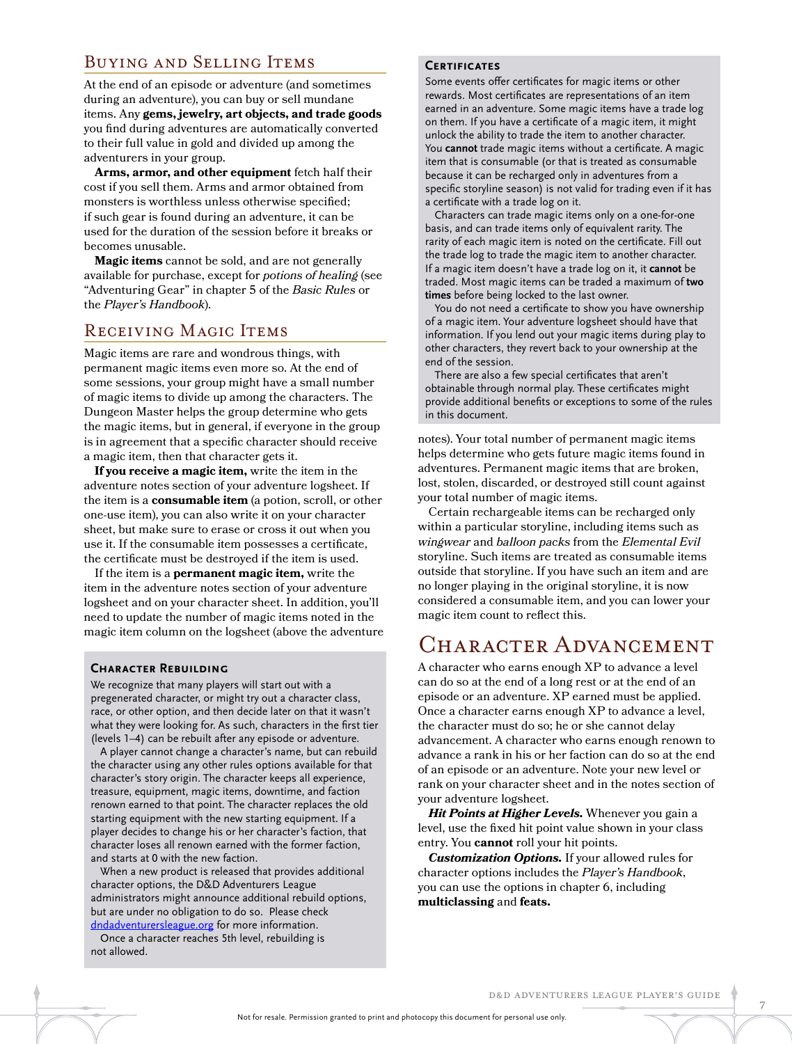### Buying and Selling Items

At the end of an episode or adventure (and sometimes during an adventure), you can buy or sell mundane items. Any **gems, jewelry, art objects, and trade goods** you find during adventures are automatically converted to their full value in gold and divided up among the adventurers in your group.

**Arms, armor, and other equipment** fetch half their cost if you sell them. Arms and armor obtained from monsters is worthless unless otherwise specified; if such gear is found during an adventure, it can be used for the duration of the session before it breaks or becomes unusable.

**Magic items** cannot be sold, and are not generally available for purchase, except for *potions of healing* (see "Adventuring Gear" in chapter 5 of the *Basic Rules* or the *Player's Handbook*).

### RECEIVING MAGIC ITEMS

Magic items are rare and wondrous things, with permanent magic items even more so. At the end of some sessions, your group might have a small number of magic items to divide up among the characters. The Dungeon Master helps the group determine who gets the magic items, but in general, if everyone in the group is in agreement that a specific character should receive a magic item, then that character gets it.

**If you receive a magic item,** write the item in the adventure notes section of your adventure logsheet. If the item is a **consumable item** (a potion, scroll, or other one-use item), you can also write it on your character sheet, but make sure to erase or cross it out when you use it. If the consumable item possesses a certificate, the certificate must be destroyed if the item is used.

If the item is a **permanent magic item,** write the item in the adventure notes section of your adventure logsheet and on your character sheet. In addition, you'll need to update the number of magic items noted in the magic item column on the logsheet (above the adventure

#### **Character Rebuilding**

We recognize that many players will start out with a pregenerated character, or might try out a character class, race, or other option, and then decide later on that it wasn't what they were looking for. As such, characters in the first tier (levels 1–4) can be rebuilt after any episode or adventure.

A player cannot change a character's name, but can rebuild the character using any other rules options available for that character's story origin. The character keeps all experience, treasure, equipment, magic items, downtime, and faction renown earned to that point. The character replaces the old starting equipment with the new starting equipment. If a player decides to change his or her character's faction, that character loses all renown earned with the former faction, and starts at 0 with the new faction.

When a new product is released that provides additional character options, the D&D Adventurers League administrators might announce additional rebuild options, but are under no obligation to do so. Please check [dndadventurersleague.org](http://dndadventurersleague.org) for more information.

Once a character reaches 5th level, rebuilding is not allowed.

#### **Certificates**

Some events offer certificates for magic items or other rewards. Most certificates are representations of an item earned in an adventure. Some magic items have a trade log on them. If you have a certificate of a magic item, it might unlock the ability to trade the item to another character. You **cannot** trade magic items without a certificate. A magic item that is consumable (or that is treated as consumable because it can be recharged only in adventures from a specific storyline season) is not valid for trading even if it has a certificate with a trade log on it.

Characters can trade magic items only on a one-for-one basis, and can trade items only of equivalent rarity. The rarity of each magic item is noted on the certificate. Fill out the trade log to trade the magic item to another character. If a magic item doesn't have a trade log on it, it **cannot** be traded. Most magic items can be traded a maximum of **two times** before being locked to the last owner.

You do not need a certificate to show you have ownership of a magic item. Your adventure logsheet should have that information. If you lend out your magic items during play to other characters, they revert back to your ownership at the end of the session.

There are also a few special certificates that aren't obtainable through normal play. These certificates might provide additional benefits or exceptions to some of the rules in this document.

notes). Your total number of permanent magic items helps determine who gets future magic items found in adventures. Permanent magic items that are broken, lost, stolen, discarded, or destroyed still count against your total number of magic items.

Certain rechargeable items can be recharged only within a particular storyline, including items such as *wingwear* and *balloon packs* from the *Elemental Evil* storyline. Such items are treated as consumable items outside that storyline. If you have such an item and are no longer playing in the original storyline, it is now considered a consumable item, and you can lower your magic item count to reflect this.

## CHARACTER ADVANCEMENT

A character who earns enough XP to advance a level can do so at the end of a long rest or at the end of an episode or an adventure. XP earned must be applied. Once a character earns enough XP to advance a level, the character must do so; he or she cannot delay advancement. A character who earns enough renown to advance a rank in his or her faction can do so at the end of an episode or an adventure. Note your new level or rank on your character sheet and in the notes section of your adventure logsheet.

*Hit Points at Higher Levels.* Whenever you gain a level, use the fixed hit point value shown in your class entry. You **cannot** roll your hit points.

*Customization Options.* If your allowed rules for character options includes the *Player's Handbook*, you can use the options in chapter 6, including **multiclassing** and **feats.**

7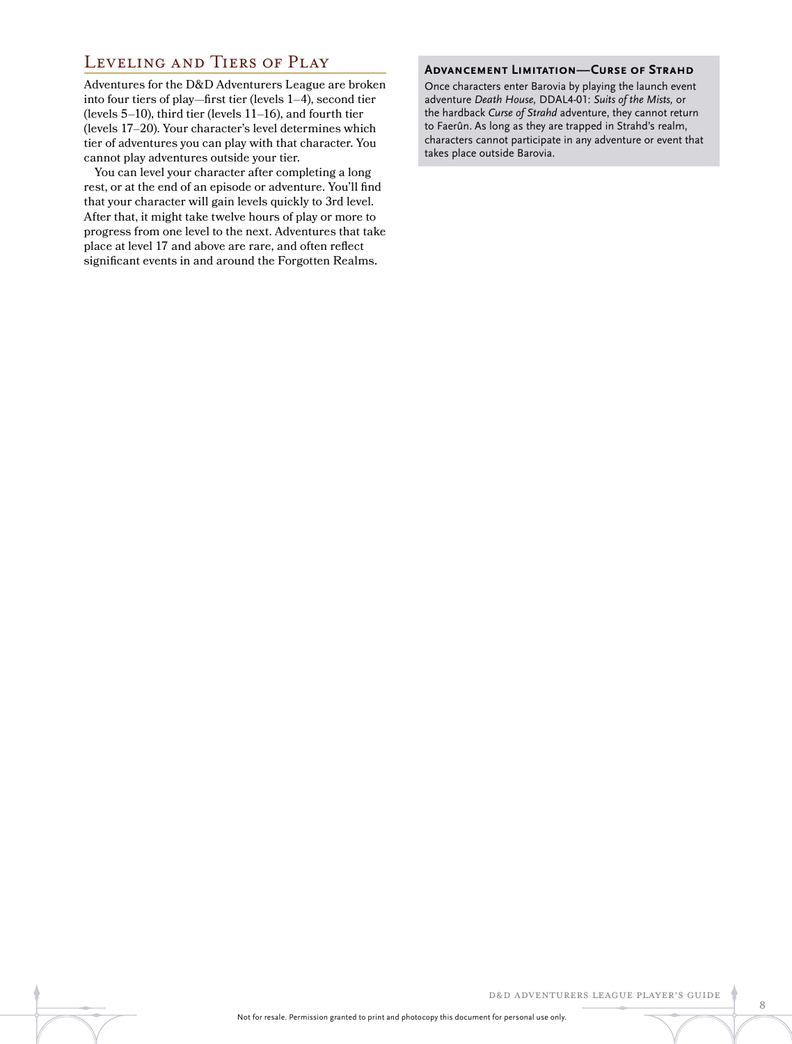### Leveling and Tiers of Play

Adventures for the D&D Adventurers League are broken into four tiers of play—first tier (levels 1–4), second tier (levels 5–10), third tier (levels 11–16), and fourth tier (levels 17–20). Your character's level determines which tier of adventures you can play with that character. You cannot play adventures outside your tier.

You can level your character after completing a long rest, or at the end of an episode or adventure. You'll find that your character will gain levels quickly to 3rd level. After that, it might take twelve hours of play or more to progress from one level to the next. Adventures that take place at level 17 and above are rare, and often reflect significant events in and around the Forgotten Realms.

#### **Advancement Limitation—Curse of Strahd**

Once characters enter Barovia by playing the launch event adventure *Death House,* DDAL4-01: *Suits of the Mists,* or the hardback *Curse of Strahd* adventure, they cannot return to Faerûn. As long as they are trapped in Strahd's realm, characters cannot participate in any adventure or event that takes place outside Barovia.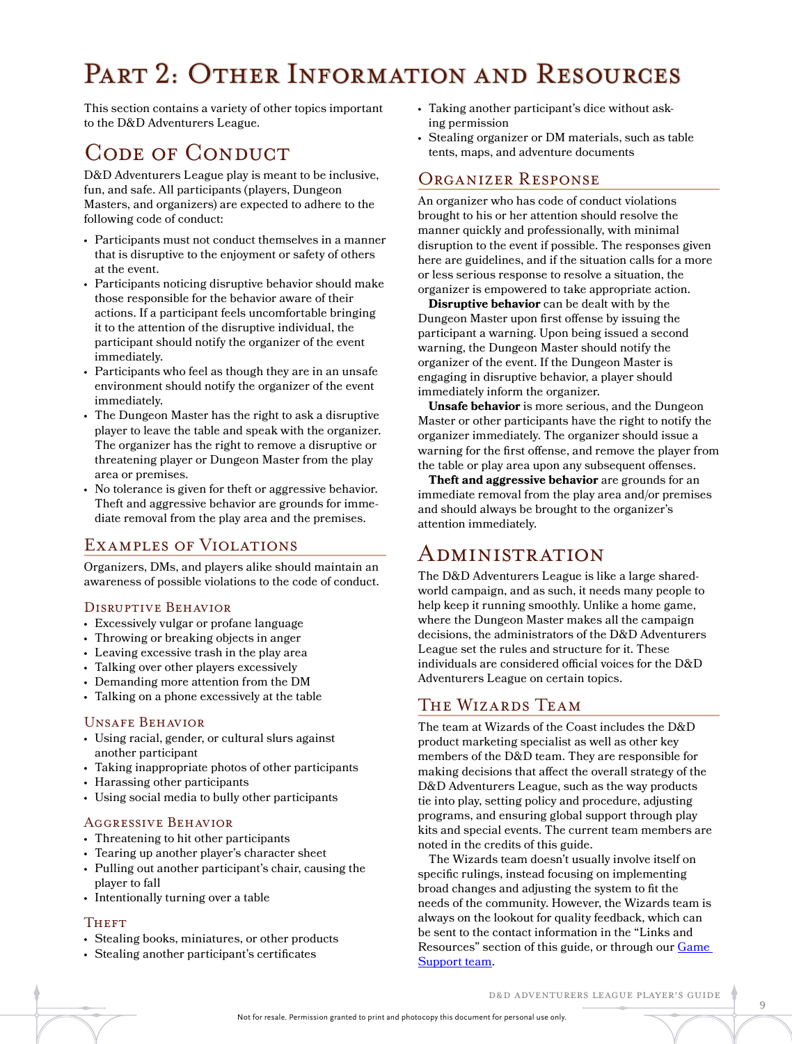## PART 2: OTHER INFORMATION AND RESOURCES

This section contains a variety of other topics important to the D&D Adventurers League.

## CODE OF CONDUCT

D&D Adventurers League play is meant to be inclusive, fun, and safe. All participants (players, Dungeon Masters, and organizers) are expected to adhere to the following code of conduct:

- Participants must not conduct themselves in a manner that is disruptive to the enjoyment or safety of others at the event.
- Participants noticing disruptive behavior should make those responsible for the behavior aware of their actions. If a participant feels uncomfortable bringing it to the attention of the disruptive individual, the participant should notify the organizer of the event immediately.
- Participants who feel as though they are in an unsafe environment should notify the organizer of the event immediately.
- The Dungeon Master has the right to ask a disruptive player to leave the table and speak with the organizer. The organizer has the right to remove a disruptive or threatening player or Dungeon Master from the play area or premises.
- No tolerance is given for theft or aggressive behavior. Theft and aggressive behavior are grounds for immediate removal from the play area and the premises.

### Examples of Violations

Organizers, DMs, and players alike should maintain an awareness of possible violations to the code of conduct.

### Disruptive Behavior

- Excessively vulgar or profane language
- Throwing or breaking objects in anger
- Leaving excessive trash in the play area
- Talking over other players excessively
- Demanding more attention from the DM
- Talking on a phone excessively at the table

### Unsafe Behavior

- Using racial, gender, or cultural slurs against another participant
- Taking inappropriate photos of other participants
- Harassing other participants
- Using social media to bully other participants

### Aggressive Behavior

- Threatening to hit other participants
- Tearing up another player's character sheet
- Pulling out another participant's chair, causing the player to fall
- Intentionally turning over a table

### **THEFT**

- Stealing books, miniatures, or other products
- Stealing another participant's certificates
- Taking another participant's dice without asking permission
- Stealing organizer or DM materials, such as table tents, maps, and adventure documents

### Organizer Response

An organizer who has code of conduct violations brought to his or her attention should resolve the manner quickly and professionally, with minimal disruption to the event if possible. The responses given here are guidelines, and if the situation calls for a more or less serious response to resolve a situation, the organizer is empowered to take appropriate action.

**Disruptive behavior** can be dealt with by the Dungeon Master upon first offense by issuing the participant a warning. Upon being issued a second warning, the Dungeon Master should notify the organizer of the event. If the Dungeon Master is engaging in disruptive behavior, a player should immediately inform the organizer.

**Unsafe behavior** is more serious, and the Dungeon Master or other participants have the right to notify the organizer immediately. The organizer should issue a warning for the first offense, and remove the player from the table or play area upon any subsequent offenses.

**Theft and aggressive behavior** are grounds for an immediate removal from the play area and/or premises and should always be brought to the organizer's attention immediately.

## Administration

The D&D Adventurers League is like a large sharedworld campaign, and as such, it needs many people to help keep it running smoothly. Unlike a home game, where the Dungeon Master makes all the campaign decisions, the administrators of the D&D Adventurers League set the rules and structure for it. These individuals are considered official voices for the D&D Adventurers League on certain topics.

### The Wizards Team

The team at Wizards of the Coast includes the D&D product marketing specialist as well as other key members of the D&D team. They are responsible for making decisions that affect the overall strategy of the D&D Adventurers League, such as the way products tie into play, setting policy and procedure, adjusting programs, and ensuring global support through play kits and special events. The current team members are noted in the credits of this guide.

The Wizards team doesn't usually involve itself on specific rulings, instead focusing on implementing broad changes and adjusting the system to fit the needs of the community. However, the Wizards team is always on the lookout for quality feedback, which can be sent to the contact information in the "Links and Resources" section of this guide, or through our [Game](http://wizards.custhelp.com/app/answers/detail/a_id/2303/session/L3RpbWUvMTQ1NzEwOTQ3NS9zaWQvMUFPVldES20%3D)  [Support team](http://wizards.custhelp.com/app/answers/detail/a_id/2303/session/L3RpbWUvMTQ1NzEwOTQ3NS9zaWQvMUFPVldES20%3D).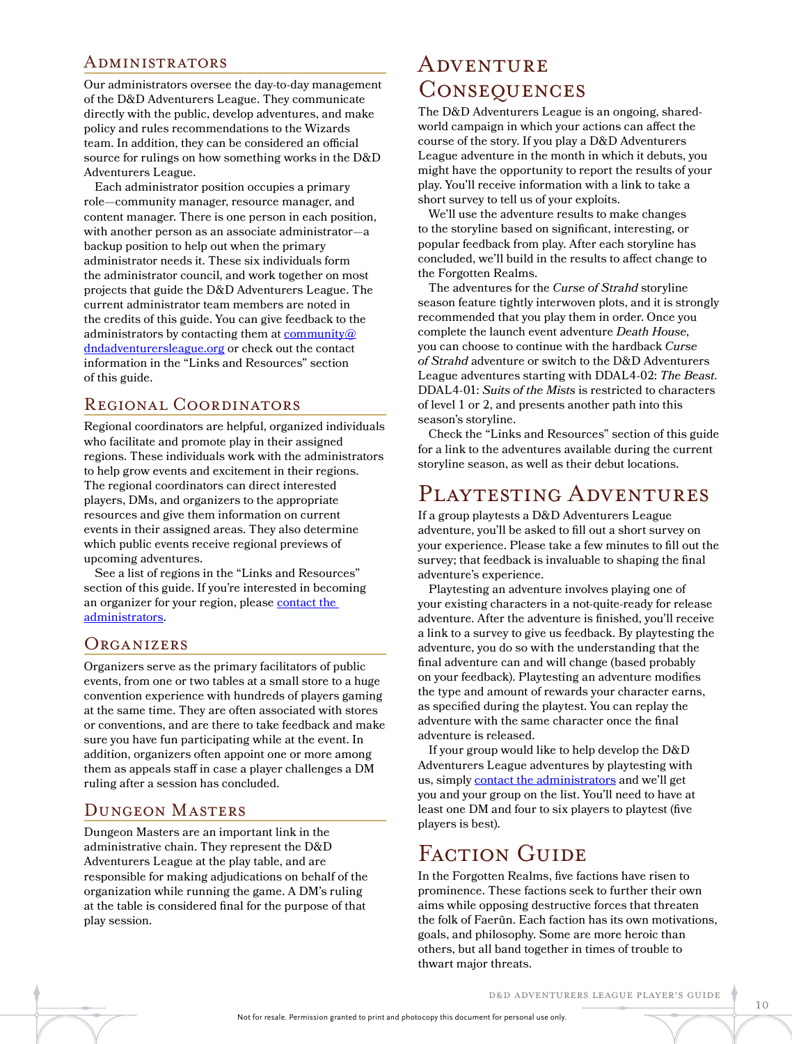### Administrators

Our administrators oversee the day-to-day management of the D&D Adventurers League. They communicate directly with the public, develop adventures, and make policy and rules recommendations to the Wizards team. In addition, they can be considered an official source for rulings on how something works in the D&D Adventurers League.

Each administrator position occupies a primary role—community manager, resource manager, and content manager. There is one person in each position, with another person as an associate administrator—a backup position to help out when the primary administrator needs it. These six individuals form the administrator council, and work together on most projects that guide the D&D Adventurers League. The current administrator team members are noted in the credits of this guide. You can give feedback to the administrators by contacting them at [community@](mailto:community@dndadventurersleague.org) [dndadventurersleague.org](mailto:community@dndadventurersleague.org) or check out the contact information in the "Links and Resources" section of this guide.

### Regional Coordinators

Regional coordinators are helpful, organized individuals who facilitate and promote play in their assigned regions. These individuals work with the administrators to help grow events and excitement in their regions. The regional coordinators can direct interested players, DMs, and organizers to the appropriate resources and give them information on current events in their assigned areas. They also determine which public events receive regional previews of upcoming adventures.

See a list of regions in the "Links and Resources" section of this guide. If you're interested in becoming an organizer for your region, please [contact the](mailto:community@dndadventurersleague.org)  [administrators.](mailto:community@dndadventurersleague.org)

### **ORGANIZERS**

Organizers serve as the primary facilitators of public events, from one or two tables at a small store to a huge convention experience with hundreds of players gaming at the same time. They are often associated with stores or conventions, and are there to take feedback and make sure you have fun participating while at the event. In addition, organizers often appoint one or more among them as appeals staff in case a player challenges a DM ruling after a session has concluded.

### Dungeon Masters

Dungeon Masters are an important link in the administrative chain. They represent the D&D Adventurers League at the play table, and are responsible for making adjudications on behalf of the organization while running the game. A DM's ruling at the table is considered final for the purpose of that play session.

## **ADVENTURE CONSEQUENCES**

The D&D Adventurers League is an ongoing, sharedworld campaign in which your actions can affect the course of the story. If you play a D&D Adventurers League adventure in the month in which it debuts, you might have the opportunity to report the results of your play. You'll receive information with a link to take a short survey to tell us of your exploits.

We'll use the adventure results to make changes to the storyline based on significant, interesting, or popular feedback from play. After each storyline has concluded, we'll build in the results to affect change to the Forgotten Realms.

The adventures for the *Curse of Strahd* storyline season feature tightly interwoven plots, and it is strongly recommended that you play them in order. Once you complete the launch event adventure *Death House*, you can choose to continue with the hardback *Curse of Strahd* adventure or switch to the D&D Adventurers League adventures starting with DDAL4-02: *The Beast*. DDAL4-01: *Suits of the Mists* is restricted to characters of level 1 or 2, and presents another path into this season's storyline.

Check the "Links and Resources" section of this guide for a link to the adventures available during the current storyline season, as well as their debut locations.

## Playtesting Adventures

If a group playtests a D&D Adventurers League adventure, you'll be asked to fill out a short survey on your experience. Please take a few minutes to fill out the survey; that feedback is invaluable to shaping the final adventure's experience.

Playtesting an adventure involves playing one of your existing characters in a not-quite-ready for release adventure. After the adventure is finished, you'll receive a link to a survey to give us feedback. By playtesting the adventure, you do so with the understanding that the final adventure can and will change (based probably on your feedback). Playtesting an adventure modifies the type and amount of rewards your character earns, as specified during the playtest. You can replay the adventure with the same character once the final adventure is released.

If your group would like to help develop the D&D Adventurers League adventures by playtesting with us, simply [contact the administrators](mailto:community@dndadventurersleague.org) and we'll get you and your group on the list. You'll need to have at least one DM and four to six players to playtest (five players is best).

## FACTION GUIDE

In the Forgotten Realms, five factions have risen to prominence. These factions seek to further their own aims while opposing destructive forces that threaten the folk of Faerûn. Each faction has its own motivations, goals, and philosophy. Some are more heroic than others, but all band together in times of trouble to thwart major threats.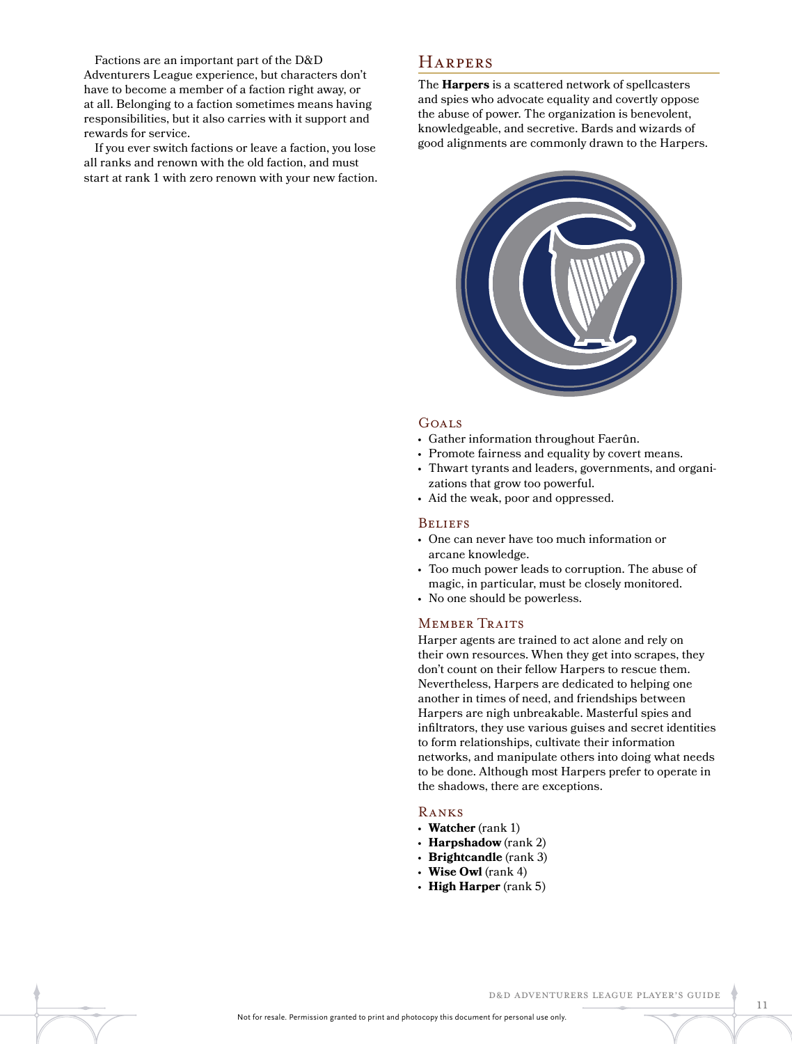Factions are an important part of the D&D Adventurers League experience, but characters don't have to become a member of a faction right away, or at all. Belonging to a faction sometimes means having responsibilities, but it also carries with it support and rewards for service.

If you ever switch factions or leave a faction, you lose all ranks and renown with the old faction, and must start at rank 1 with zero renown with your new faction.

### **HARPERS**

The **Harpers** is a scattered network of spellcasters and spies who advocate equality and covertly oppose the abuse of power. The organization is benevolent, knowledgeable, and secretive. Bards and wizards of good alignments are commonly drawn to the Harpers.



#### Goals

- Gather information throughout Faerûn.
- Promote fairness and equality by covert means.
- Thwart tyrants and leaders, governments, and organizations that grow too powerful.
- Aid the weak, poor and oppressed.

#### **BELIEFS**

- One can never have too much information or arcane knowledge.
- Too much power leads to corruption. The abuse of magic, in particular, must be closely monitored.
- No one should be powerless.

### MEMBER TRAITS

Harper agents are trained to act alone and rely on their own resources. When they get into scrapes, they don't count on their fellow Harpers to rescue them. Nevertheless, Harpers are dedicated to helping one another in times of need, and friendships between Harpers are nigh unbreakable. Masterful spies and infiltrators, they use various guises and secret identities to form relationships, cultivate their information networks, and manipulate others into doing what needs to be done. Although most Harpers prefer to operate in the shadows, there are exceptions.

### Ranks

- **Watcher** (rank 1)
- **Harpshadow** (rank 2)
- **Brightcandle** (rank 3)
- **Wise Owl** (rank 4)
- **High Harper** (rank 5)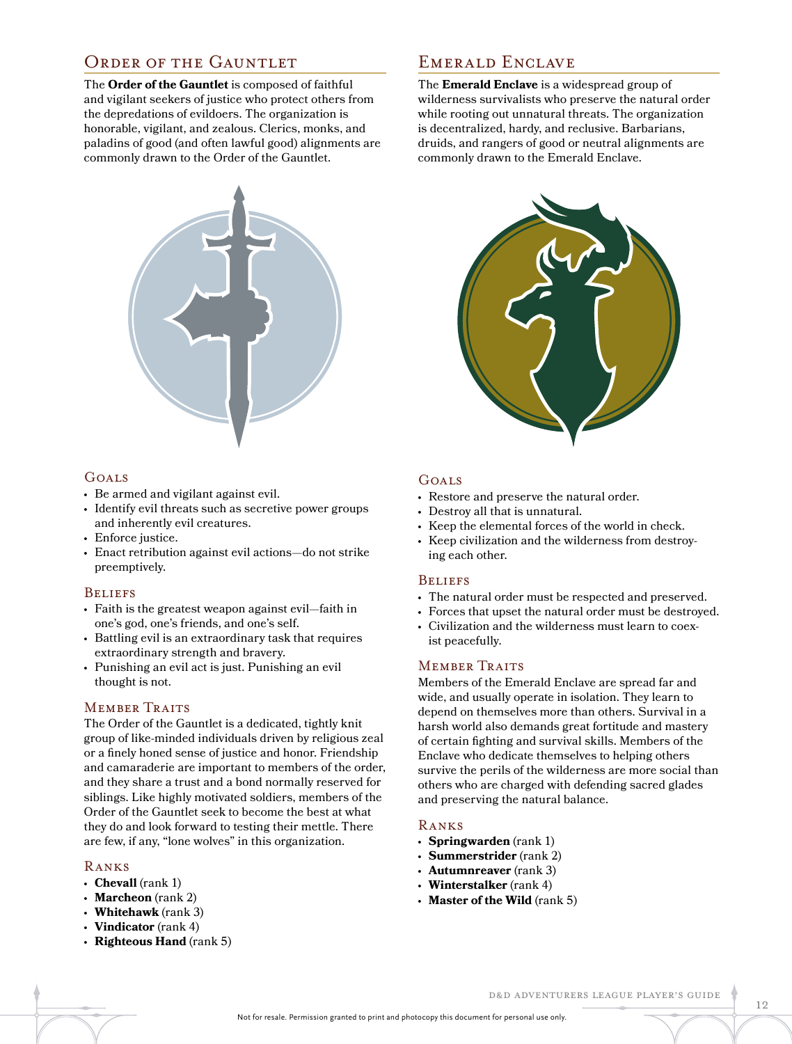### ORDER OF THE GAUNTLET

The **Order of the Gauntlet** is composed of faithful and vigilant seekers of justice who protect others from the depredations of evildoers. The organization is honorable, vigilant, and zealous. Clerics, monks, and paladins of good (and often lawful good) alignments are commonly drawn to the Order of the Gauntlet.



### GOALS

- Be armed and vigilant against evil.
- Identify evil threats such as secretive power groups and inherently evil creatures.
- Enforce justice.
- Enact retribution against evil actions—do not strike preemptively.

### **BELIEFS**

- Faith is the greatest weapon against evil—faith in one's god, one's friends, and one's self.
- Battling evil is an extraordinary task that requires extraordinary strength and bravery.
- Punishing an evil act is just. Punishing an evil thought is not.

### MEMBER TRAITS

The Order of the Gauntlet is a dedicated, tightly knit group of like-minded individuals driven by religious zeal or a finely honed sense of justice and honor. Friendship and camaraderie are important to members of the order, and they share a trust and a bond normally reserved for siblings. Like highly motivated soldiers, members of the Order of the Gauntlet seek to become the best at what they do and look forward to testing their mettle. There are few, if any, "lone wolves" in this organization.

### Ranks

- **Chevall** (rank 1)
- **Marcheon** (rank 2)
- **Whitehawk** (rank 3)
- **Vindicator** (rank 4)
- **Righteous Hand** (rank 5)

### EMERALD ENCLAVE

The **Emerald Enclave** is a widespread group of wilderness survivalists who preserve the natural order while rooting out unnatural threats. The organization is decentralized, hardy, and reclusive. Barbarians, druids, and rangers of good or neutral alignments are commonly drawn to the Emerald Enclave.



### Goals

- Restore and preserve the natural order.
- Destroy all that is unnatural.
- Keep the elemental forces of the world in check.
- Keep civilization and the wilderness from destroying each other.

### **BELIEFS**

- The natural order must be respected and preserved.
- Forces that upset the natural order must be destroyed.
- Civilization and the wilderness must learn to coexist peacefully.

### MEMBER TRAITS

Members of the Emerald Enclave are spread far and wide, and usually operate in isolation. They learn to depend on themselves more than others. Survival in a harsh world also demands great fortitude and mastery of certain fighting and survival skills. Members of the Enclave who dedicate themselves to helping others survive the perils of the wilderness are more social than others who are charged with defending sacred glades and preserving the natural balance.

### Ranks

- **Springwarden** (rank 1)
- **Summerstrider** (rank 2)
- **Autumnreaver** (rank 3)
- **Winterstalker** (rank 4)
- **Master of the Wild** (rank 5)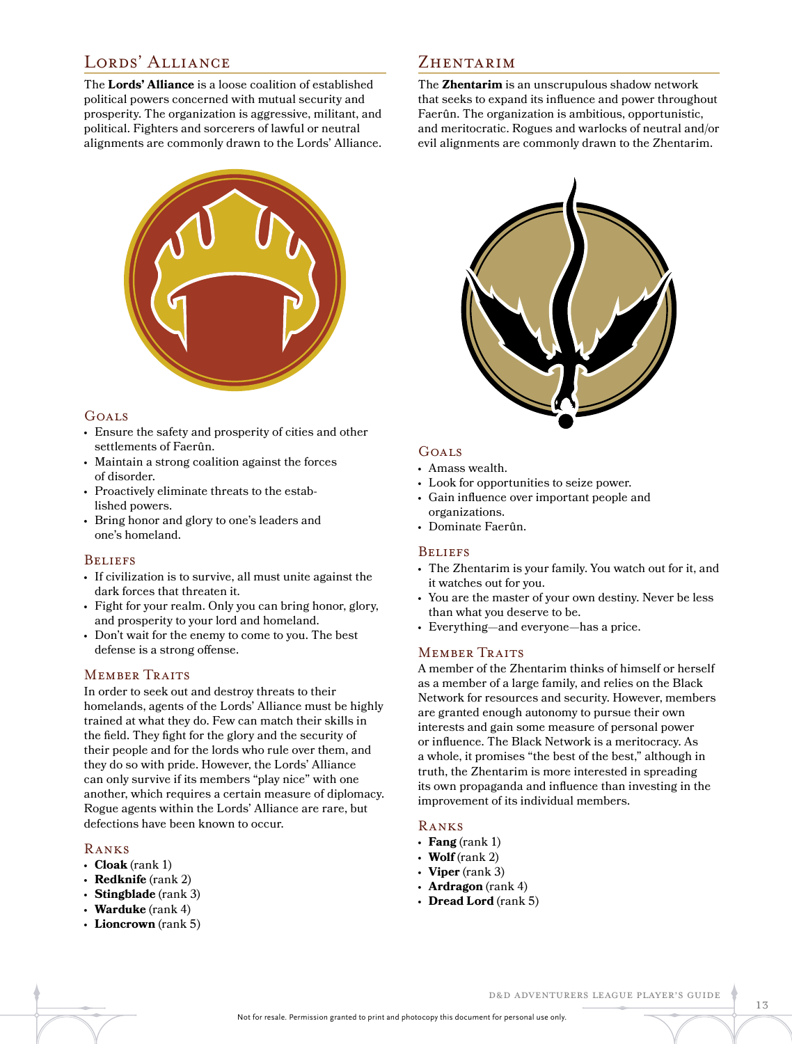### LORDS' ALLIANCE

The **Lords' Alliance** is a loose coalition of established political powers concerned with mutual security and prosperity. The organization is aggressive, militant, and political. Fighters and sorcerers of lawful or neutral alignments are commonly drawn to the Lords' Alliance.



### Goals

- Ensure the safety and prosperity of cities and other settlements of Faerûn.
- Maintain a strong coalition against the forces of disorder.
- Proactively eliminate threats to the established powers.
- Bring honor and glory to one's leaders and one's homeland.

### **BELIEFS**

- If civilization is to survive, all must unite against the dark forces that threaten it.
- Fight for your realm. Only you can bring honor, glory, and prosperity to your lord and homeland.
- Don't wait for the enemy to come to you. The best defense is a strong offense.

### **MEMBER TRAITS**

In order to seek out and destroy threats to their homelands, agents of the Lords' Alliance must be highly trained at what they do. Few can match their skills in the field. They fight for the glory and the security of their people and for the lords who rule over them, and they do so with pride. However, the Lords' Alliance can only survive if its members "play nice" with one another, which requires a certain measure of diplomacy. Rogue agents within the Lords' Alliance are rare, but defections have been known to occur.

### Ranks

- **Cloak** (rank 1)
- **Redknife** (rank 2)
- **Stingblade** (rank 3)
- **Warduke** (rank 4)
- **Lioncrown** (rank 5)

### ZHENTARIM

The **Zhentarim** is an unscrupulous shadow network that seeks to expand its influence and power throughout Faerûn. The organization is ambitious, opportunistic, and meritocratic. Rogues and warlocks of neutral and/or evil alignments are commonly drawn to the Zhentarim.



### Goals

- Amass wealth.
- Look for opportunities to seize power.
- Gain influence over important people and organizations.
- Dominate Faerûn.

### **BELIEFS**

- The Zhentarim is your family. You watch out for it, and it watches out for you.
- You are the master of your own destiny. Never be less than what you deserve to be.
- Everything—and everyone—has a price.

### MEMBER TRAITS

A member of the Zhentarim thinks of himself or herself as a member of a large family, and relies on the Black Network for resources and security. However, members are granted enough autonomy to pursue their own interests and gain some measure of personal power or influence. The Black Network is a meritocracy. As a whole, it promises "the best of the best," although in truth, the Zhentarim is more interested in spreading its own propaganda and influence than investing in the improvement of its individual members.

### Ranks

- **Fang** (rank 1)
- $\cdot$  **Wolf** (rank 2)
- **Viper** (rank 3)
- **Ardragon** (rank 4)
- **Dread Lord** (rank 5)

#### D&D Adventurers League Player's Guide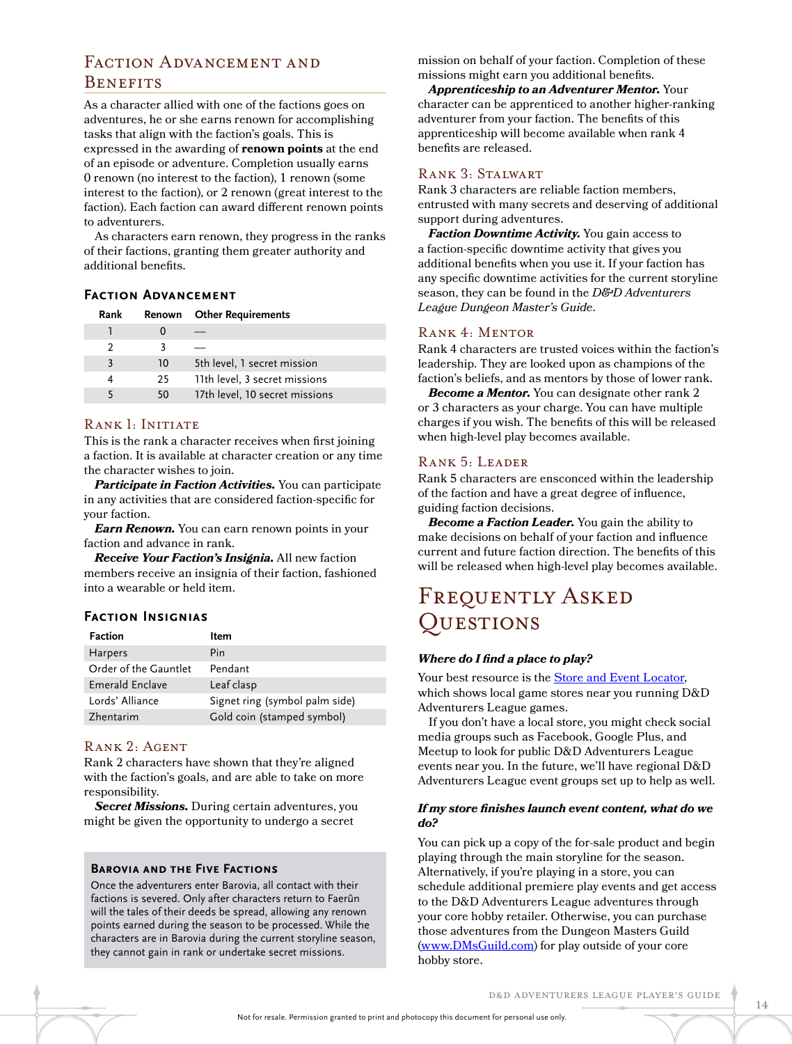### FACTION ADVANCEMENT AND **BENEFITS**

As a character allied with one of the factions goes on adventures, he or she earns renown for accomplishing tasks that align with the faction's goals. This is expressed in the awarding of **renown points** at the end of an episode or adventure. Completion usually earns 0 renown (no interest to the faction), 1 renown (some interest to the faction), or 2 renown (great interest to the faction). Each faction can award different renown points to adventurers.

As characters earn renown, they progress in the ranks of their factions, granting them greater authority and additional benefits.

### **Faction Advancement**

| Rank | Renown | <b>Other Requirements</b>      |
|------|--------|--------------------------------|
|      |        |                                |
| 2    |        |                                |
| 3    | 10     | 5th level, 1 secret mission    |
|      | 25     | 11th level, 3 secret missions  |
|      | 50     | 17th level, 10 secret missions |
|      |        |                                |

### RANK 1: INITIATE

This is the rank a character receives when first joining a faction. It is available at character creation or any time the character wishes to join.

*Participate in Faction Activities.* You can participate in any activities that are considered faction-specific for your faction.

*Earn Renown.* You can earn renown points in your faction and advance in rank.

*Receive Your Faction's Insignia.* All new faction members receive an insignia of their faction, fashioned into a wearable or held item.

### **Faction Insignias**

| Faction               | ltem                           |
|-----------------------|--------------------------------|
| <b>Harpers</b>        | Pin                            |
| Order of the Gauntlet | Pendant                        |
| Emerald Enclave       | Leaf clasp                     |
| Lords' Alliance       | Signet ring (symbol palm side) |
| Zhentarim             | Gold coin (stamped symbol)     |

### Rank 2: Agent

Rank 2 characters have shown that they're aligned with the faction's goals, and are able to take on more responsibility.

*Secret Missions.* During certain adventures, you might be given the opportunity to undergo a secret

#### **Barovia and the Five Factions**

Once the adventurers enter Barovia, all contact with their factions is severed. Only after characters return to Faerûn will the tales of their deeds be spread, allowing any renown points earned during the season to be processed. While the characters are in Barovia during the current storyline season, they cannot gain in rank or undertake secret missions.

mission on behalf of your faction. Completion of these missions might earn you additional benefits.

*Apprenticeship to an Adventurer Mentor.* Your character can be apprenticed to another higher-ranking adventurer from your faction. The benefits of this apprenticeship will become available when rank 4 benefits are released.

#### Rank 3: Stalwart

Rank 3 characters are reliable faction members, entrusted with many secrets and deserving of additional support during adventures.

*Faction Downtime Activity.* You gain access to a faction-specific downtime activity that gives you additional benefits when you use it. If your faction has any specific downtime activities for the current storyline season, they can be found in the *D&D Adventurers League Dungeon Master's Guide*.

### Rank 4: Mentor

Rank 4 characters are trusted voices within the faction's leadership. They are looked upon as champions of the faction's beliefs, and as mentors by those of lower rank.

*Become a Mentor.* You can designate other rank 2 or 3 characters as your charge. You can have multiple charges if you wish. The benefits of this will be released when high-level play becomes available.

### Rank 5: Leader

Rank 5 characters are ensconced within the leadership of the faction and have a great degree of influence, guiding faction decisions.

*Become a Faction Leader.* You gain the ability to make decisions on behalf of your faction and influence current and future faction direction. The benefits of this will be released when high-level play becomes available.

## Frequently Asked Questions

#### *Where do I find a place to play?*

Your best resource is the [Store and Event Locator](http://locator.wizards.com/#brand=dnd), which shows local game stores near you running D&D Adventurers League games.

If you don't have a local store, you might check social media groups such as Facebook, Google Plus, and Meetup to look for public D&D Adventurers League events near you. In the future, we'll have regional D&D Adventurers League event groups set up to help as well.

#### *If my store finishes launch event content, what do we do?*

You can pick up a copy of the for-sale product and begin playing through the main storyline for the season. Alternatively, if you're playing in a store, you can schedule additional premiere play events and get access to the D&D Adventurers League adventures through your core hobby retailer. Otherwise, you can purchase those adventures from the Dungeon Masters Guild [\(www.DMsGuild.com](http://www.DMsGuild.com)) for play outside of your core hobby store.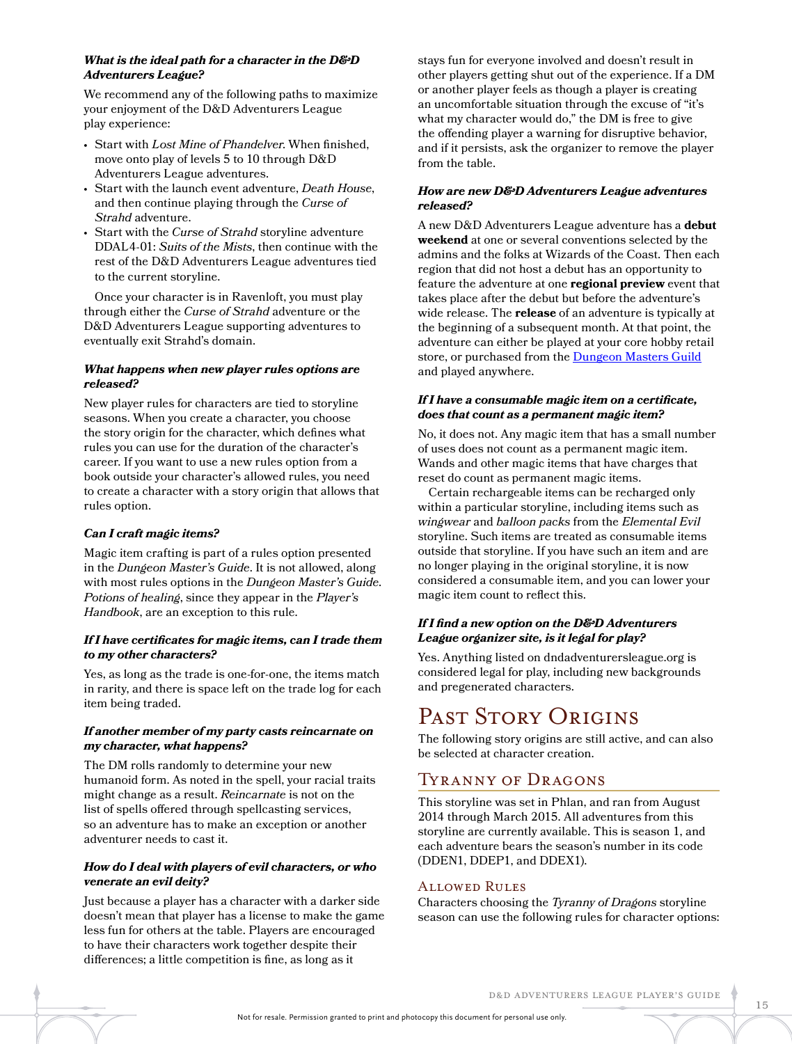### *What is the ideal path for a character in the D&D Adventurers League?*

We recommend any of the following paths to maximize your enjoyment of the D&D Adventurers League play experience:

- Start with *Lost Mine of Phandelver*. When finished, move onto play of levels 5 to 10 through D&D Adventurers League adventures.
- Start with the launch event adventure, *Death House*, and then continue playing through the *Curse of Strahd* adventure.
- Start with the *Curse of Strahd* storyline adventure DDAL4-01: *Suits of the Mists*, then continue with the rest of the D&D Adventurers League adventures tied to the current storyline.

Once your character is in Ravenloft, you must play through either the *Curse of Strahd* adventure or the D&D Adventurers League supporting adventures to eventually exit Strahd's domain.

### *What happens when new player rules options are released?*

New player rules for characters are tied to storyline seasons. When you create a character, you choose the story origin for the character, which defines what rules you can use for the duration of the character's career. If you want to use a new rules option from a book outside your character's allowed rules, you need to create a character with a story origin that allows that rules option.

### *Can I craft magic items?*

Magic item crafting is part of a rules option presented in the *Dungeon Master's Guide*. It is not allowed, along with most rules options in the *Dungeon Master's Guide*. *Potions of healing*, since they appear in the *Player's Handbook*, are an exception to this rule.

### *If I have certificates for magic items, can I trade them to my other characters?*

Yes, as long as the trade is one-for-one, the items match in rarity, and there is space left on the trade log for each item being traded.

### *If another member of my party casts reincarnate on my character, what happens?*

The DM rolls randomly to determine your new humanoid form. As noted in the spell, your racial traits might change as a result. *Reincarnate* is not on the list of spells offered through spellcasting services, so an adventure has to make an exception or another adventurer needs to cast it.

### *How do I deal with players of evil characters, or who venerate an evil deity?*

Just because a player has a character with a darker side doesn't mean that player has a license to make the game less fun for others at the table. Players are encouraged to have their characters work together despite their differences; a little competition is fine, as long as it

stays fun for everyone involved and doesn't result in other players getting shut out of the experience. If a DM or another player feels as though a player is creating an uncomfortable situation through the excuse of "it's what my character would do," the DM is free to give the offending player a warning for disruptive behavior, and if it persists, ask the organizer to remove the player from the table.

### *How are new D&D Adventurers League adventures released?*

A new D&D Adventurers League adventure has a **debut weekend** at one or several conventions selected by the admins and the folks at Wizards of the Coast. Then each region that did not host a debut has an opportunity to feature the adventure at one **regional preview** event that takes place after the debut but before the adventure's wide release. The **release** of an adventure is typically at the beginning of a subsequent month. At that point, the adventure can either be played at your core hobby retail store, or purchased from the **[Dungeon Masters Guild](http://DMsGuild.com)** and played anywhere.

### *If I have a consumable magic item on a certificate, does that count as a permanent magic item?*

No, it does not. Any magic item that has a small number of uses does not count as a permanent magic item. Wands and other magic items that have charges that reset do count as permanent magic items.

Certain rechargeable items can be recharged only within a particular storyline, including items such as *wingwear* and *balloon packs* from the *Elemental Evil* storyline. Such items are treated as consumable items outside that storyline. If you have such an item and are no longer playing in the original storyline, it is now considered a consumable item, and you can lower your magic item count to reflect this.

### *If I find a new option on the D&D Adventurers League organizer site, is it legal for play?*

Yes. Anything listed on dndadventurersleague.org is considered legal for play, including new backgrounds and pregenerated characters.

## PAST STORY ORIGINS

The following story origins are still active, and can also be selected at character creation.

### Tyranny of Dragons

This storyline was set in Phlan, and ran from August 2014 through March 2015. All adventures from this storyline are currently available. This is season 1, and each adventure bears the season's number in its code (DDEN1, DDEP1, and DDEX1).

### Allowed Rules

Characters choosing the *Tyranny of Dragons* storyline season can use the following rules for character options: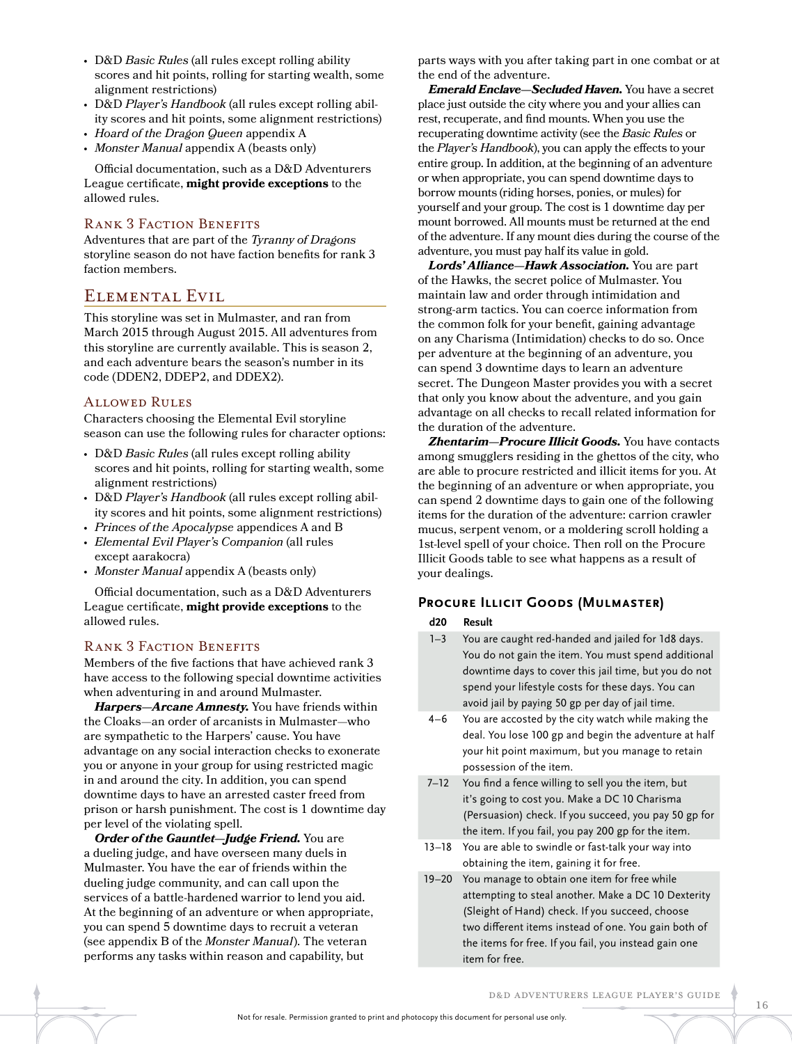- D&D *Basic Rules* (all rules except rolling ability scores and hit points, rolling for starting wealth, some alignment restrictions)
- D&D *Player's Handbook* (all rules except rolling ability scores and hit points, some alignment restrictions)
- *Hoard of the Dragon Queen* appendix A
- *Monster Manual* appendix A (beasts only)

Official documentation, such as a D&D Adventurers League certificate, **might provide exceptions** to the allowed rules.

### Rank 3 Faction Benefits

Adventures that are part of the *Tyranny of Dragons*  storyline season do not have faction benefits for rank 3 faction members.

### Elemental Evil

This storyline was set in Mulmaster, and ran from March 2015 through August 2015. All adventures from this storyline are currently available. This is season 2, and each adventure bears the season's number in its code (DDEN2, DDEP2, and DDEX2).

#### Allowed Rules

Characters choosing the Elemental Evil storyline season can use the following rules for character options:

- D&D *Basic Rules* (all rules except rolling ability scores and hit points, rolling for starting wealth, some alignment restrictions)
- D&D *Player's Handbook* (all rules except rolling ability scores and hit points, some alignment restrictions)
- *Princes of the Apocalypse* appendices A and B
- *Elemental Evil Player's Companion* (all rules except aarakocra)
- *Monster Manual* appendix A (beasts only)

Official documentation, such as a D&D Adventurers League certificate, **might provide exceptions** to the allowed rules.

### Rank 3 Faction Benefits

Members of the five factions that have achieved rank 3 have access to the following special downtime activities when adventuring in and around Mulmaster.

*Harpers—Arcane Amnesty.* You have friends within the Cloaks—an order of arcanists in Mulmaster—who are sympathetic to the Harpers' cause. You have advantage on any social interaction checks to exonerate you or anyone in your group for using restricted magic in and around the city. In addition, you can spend downtime days to have an arrested caster freed from prison or harsh punishment. The cost is 1 downtime day per level of the violating spell.

*Order of the Gauntlet—Judge Friend.* You are a dueling judge, and have overseen many duels in Mulmaster. You have the ear of friends within the dueling judge community, and can call upon the services of a battle-hardened warrior to lend you aid. At the beginning of an adventure or when appropriate, you can spend 5 downtime days to recruit a veteran (see appendix B of the *Monster Manual*). The veteran performs any tasks within reason and capability, but

parts ways with you after taking part in one combat or at the end of the adventure.

*Emerald Enclave—Secluded Haven.* You have a secret place just outside the city where you and your allies can rest, recuperate, and find mounts. When you use the recuperating downtime activity (see the *Basic Rules* or the *Player's Handbook*), you can apply the effects to your entire group. In addition, at the beginning of an adventure or when appropriate, you can spend downtime days to borrow mounts (riding horses, ponies, or mules) for yourself and your group. The cost is 1 downtime day per mount borrowed. All mounts must be returned at the end of the adventure. If any mount dies during the course of the adventure, you must pay half its value in gold.

*Lords' Alliance—Hawk Association.* You are part of the Hawks, the secret police of Mulmaster. You maintain law and order through intimidation and strong-arm tactics. You can coerce information from the common folk for your benefit, gaining advantage on any Charisma (Intimidation) checks to do so. Once per adventure at the beginning of an adventure, you can spend 3 downtime days to learn an adventure secret. The Dungeon Master provides you with a secret that only you know about the adventure, and you gain advantage on all checks to recall related information for the duration of the adventure.

*Zhentarim—Procure Illicit Goods.* You have contacts among smugglers residing in the ghettos of the city, who are able to procure restricted and illicit items for you. At the beginning of an adventure or when appropriate, you can spend 2 downtime days to gain one of the following items for the duration of the adventure: carrion crawler mucus, serpent venom, or a moldering scroll holding a 1st-level spell of your choice. Then roll on the Procure Illicit Goods table to see what happens as a result of your dealings.

### **Procure Illicit Goods (Mulmaster)**

### **d20 Result**

- 1–3 You are caught red-handed and jailed for 1d8 days. You do not gain the item. You must spend additional downtime days to cover this jail time, but you do not spend your lifestyle costs for these days. You can avoid jail by paying 50 gp per day of jail time.
- 4–6 You are accosted by the city watch while making the deal. You lose 100 gp and begin the adventure at half your hit point maximum, but you manage to retain possession of the item.
- 7–12 You find a fence willing to sell you the item, but it's going to cost you. Make a DC 10 Charisma (Persuasion) check. If you succeed, you pay 50 gp for the item. If you fail, you pay 200 gp for the item.
- 13–18 You are able to swindle or fast-talk your way into obtaining the item, gaining it for free.
- 19–20 You manage to obtain one item for free while attempting to steal another. Make a DC 10 Dexterity (Sleight of Hand) check. If you succeed, choose two different items instead of one. You gain both of the items for free. If you fail, you instead gain one item for free.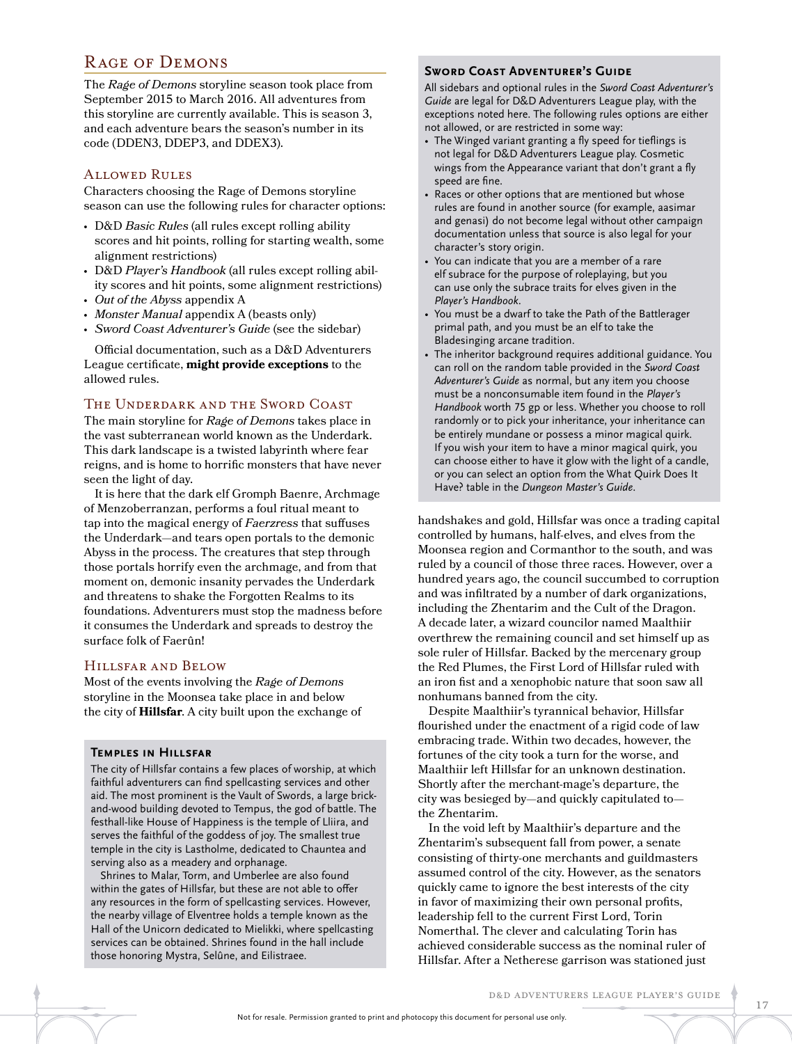### Rage of Demons

The *Rage of Demons* storyline season took place from September 2015 to March 2016. All adventures from this storyline are currently available. This is season 3, and each adventure bears the season's number in its code (DDEN3, DDEP3, and DDEX3).

### Allowed Rules

Characters choosing the Rage of Demons storyline season can use the following rules for character options:

- D&D *Basic Rules* (all rules except rolling ability scores and hit points, rolling for starting wealth, some alignment restrictions)
- D&D *Player's Handbook* (all rules except rolling ability scores and hit points, some alignment restrictions)
- *Out of the Abyss* appendix A
- *Monster Manual* appendix A (beasts only)
- *Sword Coast Adventurer's Guide* (see the sidebar)

Official documentation, such as a D&D Adventurers League certificate, **might provide exceptions** to the allowed rules.

### The Underdark and the Sword Coast

The main storyline for *Rage of Demons* takes place in the vast subterranean world known as the Underdark. This dark landscape is a twisted labyrinth where fear reigns, and is home to horrific monsters that have never seen the light of day.

It is here that the dark elf Gromph Baenre, Archmage of Menzoberranzan, performs a foul ritual meant to tap into the magical energy of *Faerzress* that suffuses the Underdark—and tears open portals to the demonic Abyss in the process. The creatures that step through those portals horrify even the archmage, and from that moment on, demonic insanity pervades the Underdark and threatens to shake the Forgotten Realms to its foundations. Adventurers must stop the madness before it consumes the Underdark and spreads to destroy the surface folk of Faerûn!

### Hillsfar and Below

Most of the events involving the *Rage of Demons*  storyline in the Moonsea take place in and below the city of **Hillsfar**. A city built upon the exchange of

#### **Temples in Hillsfar**

The city of Hillsfar contains a few places of worship, at which faithful adventurers can find spellcasting services and other aid. The most prominent is the Vault of Swords, a large brickand-wood building devoted to Tempus, the god of battle. The festhall-like House of Happiness is the temple of Lliira, and serves the faithful of the goddess of joy. The smallest true temple in the city is Lastholme, dedicated to Chauntea and serving also as a meadery and orphanage.

Shrines to Malar, Torm, and Umberlee are also found within the gates of Hillsfar, but these are not able to offer any resources in the form of spellcasting services. However, the nearby village of Elventree holds a temple known as the Hall of the Unicorn dedicated to Mielikki, where spellcasting services can be obtained. Shrines found in the hall include those honoring Mystra, Selûne, and Eilistraee.

#### **Sword Coast Adventurer's Guide**

All sidebars and optional rules in the *Sword Coast Adventurer's Guide* are legal for D&D Adventurers League play, with the exceptions noted here. The following rules options are either not allowed, or are restricted in some way:

- The Winged variant granting a fly speed for tieflings is not legal for D&D Adventurers League play. Cosmetic wings from the Appearance variant that don't grant a fly speed are fine.
- Races or other options that are mentioned but whose rules are found in another source (for example, aasimar and genasi) do not become legal without other campaign documentation unless that source is also legal for your character's story origin.
- You can indicate that you are a member of a rare elf subrace for the purpose of roleplaying, but you can use only the subrace traits for elves given in the *Player's Handbook*.
- You must be a dwarf to take the Path of the Battlerager primal path, and you must be an elf to take the Bladesinging arcane tradition.
- The inheritor background requires additional guidance. You can roll on the random table provided in the *Sword Coast Adventurer's Guide* as normal, but any item you choose must be a nonconsumable item found in the *Player's Handbook* worth 75 gp or less. Whether you choose to roll randomly or to pick your inheritance, your inheritance can be entirely mundane or possess a minor magical quirk. If you wish your item to have a minor magical quirk, you can choose either to have it glow with the light of a candle, or you can select an option from the What Quirk Does It Have? table in the *Dungeon Master's Guide*.

handshakes and gold, Hillsfar was once a trading capital controlled by humans, half-elves, and elves from the Moonsea region and Cormanthor to the south, and was ruled by a council of those three races. However, over a hundred years ago, the council succumbed to corruption and was infiltrated by a number of dark organizations, including the Zhentarim and the Cult of the Dragon. A decade later, a wizard councilor named Maalthiir overthrew the remaining council and set himself up as sole ruler of Hillsfar. Backed by the mercenary group the Red Plumes, the First Lord of Hillsfar ruled with an iron fist and a xenophobic nature that soon saw all nonhumans banned from the city.

Despite Maalthiir's tyrannical behavior, Hillsfar flourished under the enactment of a rigid code of law embracing trade. Within two decades, however, the fortunes of the city took a turn for the worse, and Maalthiir left Hillsfar for an unknown destination. Shortly after the merchant-mage's departure, the city was besieged by—and quickly capitulated to the Zhentarim.

In the void left by Maalthiir's departure and the Zhentarim's subsequent fall from power, a senate consisting of thirty-one merchants and guildmasters assumed control of the city. However, as the senators quickly came to ignore the best interests of the city in favor of maximizing their own personal profits, leadership fell to the current First Lord, Torin Nomerthal. The clever and calculating Torin has achieved considerable success as the nominal ruler of Hillsfar. After a Netherese garrison was stationed just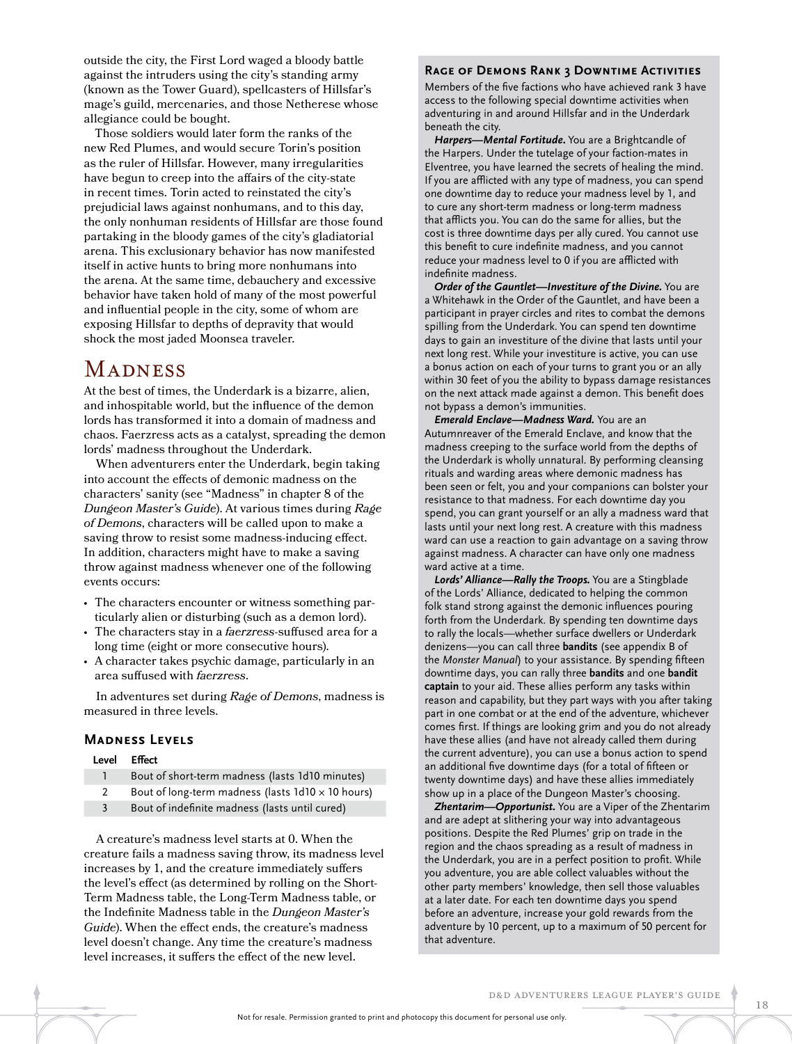outside the city, the First Lord waged a bloody battle against the intruders using the city's standing army (known as the Tower Guard), spellcasters of Hillsfar's mage's guild, mercenaries, and those Netherese whose allegiance could be bought.

Those soldiers would later form the ranks of the new Red Plumes, and would secure Torin's position as the ruler of Hillsfar. However, many irregularities have begun to creep into the affairs of the city-state in recent times. Torin acted to reinstated the city's prejudicial laws against nonhumans, and to this day, the only nonhuman residents of Hillsfar are those found partaking in the bloody games of the city's gladiatorial arena. This exclusionary behavior has now manifested itself in active hunts to bring more nonhumans into the arena. At the same time, debauchery and excessive behavior have taken hold of many of the most powerful and influential people in the city, some of whom are exposing Hillsfar to depths of depravity that would shock the most jaded Moonsea traveler.

## **MADNESS**

At the best of times, the Underdark is a bizarre, alien, and inhospitable world, but the influence of the demon lords has transformed it into a domain of madness and chaos. Faerzress acts as a catalyst, spreading the demon lords' madness throughout the Underdark.

 When adventurers enter the Underdark, begin taking into account the effects of demonic madness on the characters' sanity (see "Madness" in chapter 8 of the *Dungeon Master's Guide*). At various times during *Rage of Demons*, characters will be called upon to make a saving throw to resist some madness-inducing effect. In addition, characters might have to make a saving throw against madness whenever one of the following events occurs:

- The characters encounter or witness something particularly alien or disturbing (such as a demon lord).
- The characters stay in a *faerzress*-suffused area for a long time (eight or more consecutive hours).
- A character takes psychic damage, particularly in an area suffused with *faerzress*.

 In adventures set during *Rage of Demons*, madness is measured in three levels.

### **Madness Levels**

#### **Level Effect**

- 1 Bout of short-term madness (lasts 1d10 minutes)
- 2 Bout of long-term madness (lasts  $1d10 \times 10$  hours)
- 3 Bout of indefinite madness (lasts until cured)

 A creature's madness level starts at 0. When the creature fails a madness saving throw, its madness level increases by 1, and the creature immediately suffers the level's effect (as determined by rolling on the Short-Term Madness table, the Long-Term Madness table, or the Indefinite Madness table in the *Dungeon Master's Guide*). When the effect ends, the creature's madness level doesn't change. Any time the creature's madness level increases, it suffers the effect of the new level.

#### **Rage of Demons Rank 3 Downtime Activities**

Members of the five factions who have achieved rank 3 have access to the following special downtime activities when adventuring in and around Hillsfar and in the Underdark beneath the city.

*Harpers—Mental Fortitude***.** You are a Brightcandle of the Harpers. Under the tutelage of your faction-mates in Elventree, you have learned the secrets of healing the mind. If you are afflicted with any type of madness, you can spend one downtime day to reduce your madness level by 1, and to cure any short-term madness or long-term madness that afflicts you. You can do the same for allies, but the cost is three downtime days per ally cured. You cannot use this benefit to cure indefinite madness, and you cannot reduce your madness level to 0 if you are afflicted with indefinite madness.

*Order of the Gauntlet—Investiture of the Divine.* You are a Whitehawk in the Order of the Gauntlet, and have been a participant in prayer circles and rites to combat the demons spilling from the Underdark. You can spend ten downtime days to gain an investiture of the divine that lasts until your next long rest. While your investiture is active, you can use a bonus action on each of your turns to grant you or an ally within 30 feet of you the ability to bypass damage resistances on the next attack made against a demon. This benefit does not bypass a demon's immunities.

*Emerald Enclave—Madness Ward.* You are an Autumnreaver of the Emerald Enclave, and know that the madness creeping to the surface world from the depths of the Underdark is wholly unnatural. By performing cleansing rituals and warding areas where demonic madness has been seen or felt, you and your companions can bolster your resistance to that madness. For each downtime day you spend, you can grant yourself or an ally a madness ward that lasts until your next long rest. A creature with this madness ward can use a reaction to gain advantage on a saving throw against madness. A character can have only one madness ward active at a time.

*Lords' Alliance—Rally the Troops.* You are a Stingblade of the Lords' Alliance, dedicated to helping the common folk stand strong against the demonic influences pouring forth from the Underdark. By spending ten downtime days to rally the locals—whether surface dwellers or Underdark denizens—you can call three **bandits** (see appendix B of the *Monster Manual*) to your assistance. By spending fifteen downtime days, you can rally three **bandits** and one **bandit captain** to your aid. These allies perform any tasks within reason and capability, but they part ways with you after taking part in one combat or at the end of the adventure, whichever comes first. If things are looking grim and you do not already have these allies (and have not already called them during the current adventure), you can use a bonus action to spend an additional five downtime days (for a total of fifteen or twenty downtime days) and have these allies immediately show up in a place of the Dungeon Master's choosing.

*Zhentarim—Opportunist.* You are a Viper of the Zhentarim and are adept at slithering your way into advantageous positions. Despite the Red Plumes' grip on trade in the region and the chaos spreading as a result of madness in the Underdark, you are in a perfect position to profit. While you adventure, you are able collect valuables without the other party members' knowledge, then sell those valuables at a later date. For each ten downtime days you spend before an adventure, increase your gold rewards from the adventure by 10 percent, up to a maximum of 50 percent for that adventure.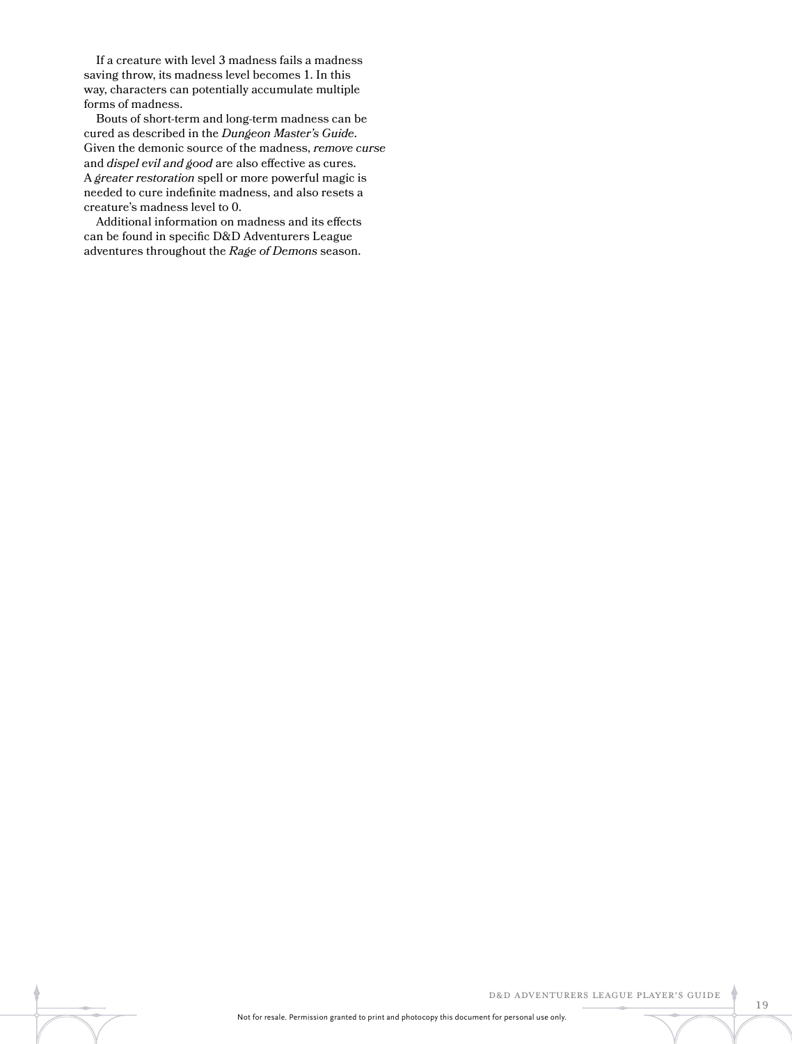If a creature with level 3 madness fails a madness saving throw, its madness level becomes 1. In this way, characters can potentially accumulate multiple forms of madness.

 Bouts of short-term and long-term madness can be cured as described in the *Dungeon Master's Guide*. Given the demonic source of the madness, *remove curse*  and *dispel evil and good* are also effective as cures. A *greater restoration* spell or more powerful magic is needed to cure indefinite madness, and also resets a creature's madness level to 0.

 Additional information on madness and its effects can be found in specific D&D Adventurers League adventures throughout the *Rage of Demons* season.